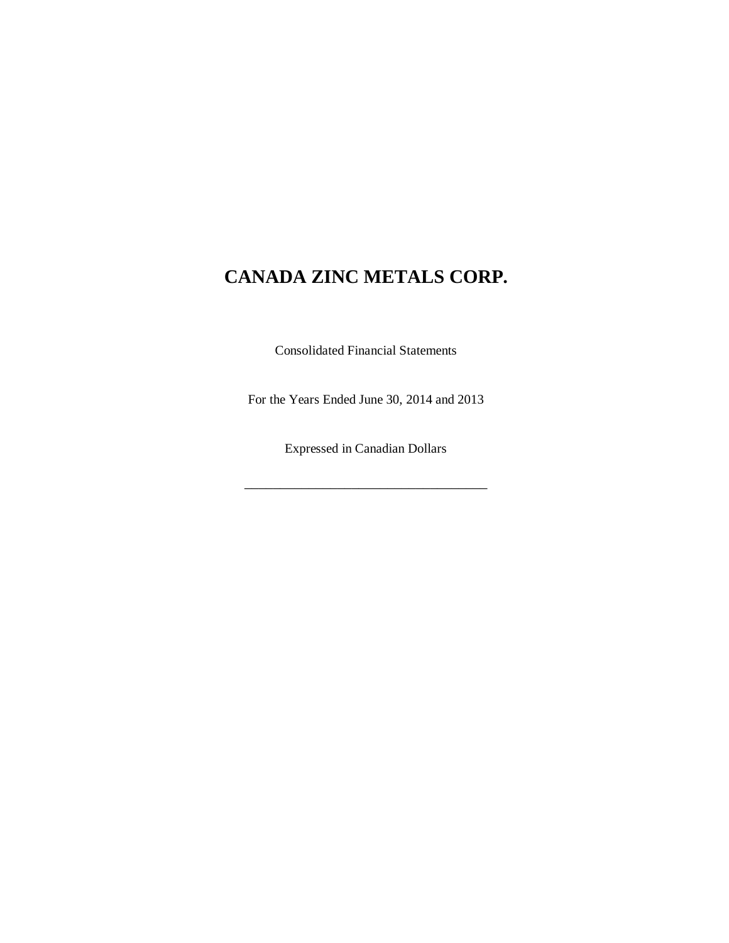Consolidated Financial Statements

For the Years Ended June 30, 2014 and 2013

Expressed in Canadian Dollars

\_\_\_\_\_\_\_\_\_\_\_\_\_\_\_\_\_\_\_\_\_\_\_\_\_\_\_\_\_\_\_\_\_\_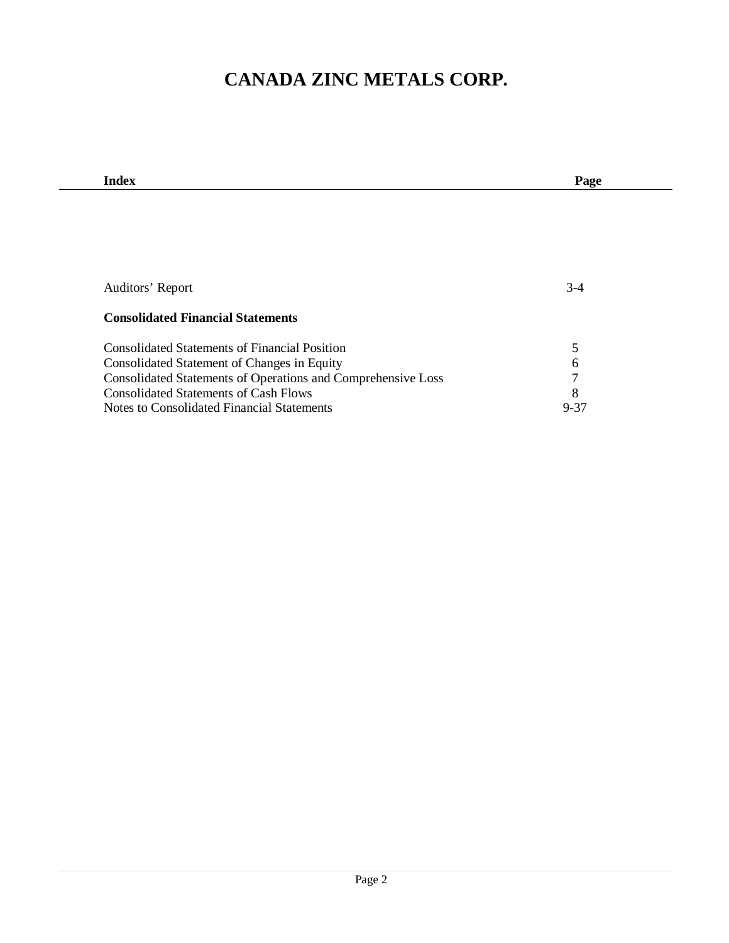| <b>Index</b>                                                 | Page  |
|--------------------------------------------------------------|-------|
|                                                              |       |
|                                                              |       |
|                                                              |       |
|                                                              |       |
|                                                              |       |
|                                                              |       |
| Auditors' Report                                             | $3-4$ |
|                                                              |       |
| <b>Consolidated Financial Statements</b>                     |       |
|                                                              |       |
| <b>Consolidated Statements of Financial Position</b>         | 5     |
| Consolidated Statement of Changes in Equity                  | 6     |
| Consolidated Statements of Operations and Comprehensive Loss | 7     |
| <b>Consolidated Statements of Cash Flows</b>                 | 8     |
| Notes to Consolidated Financial Statements                   | 9-37  |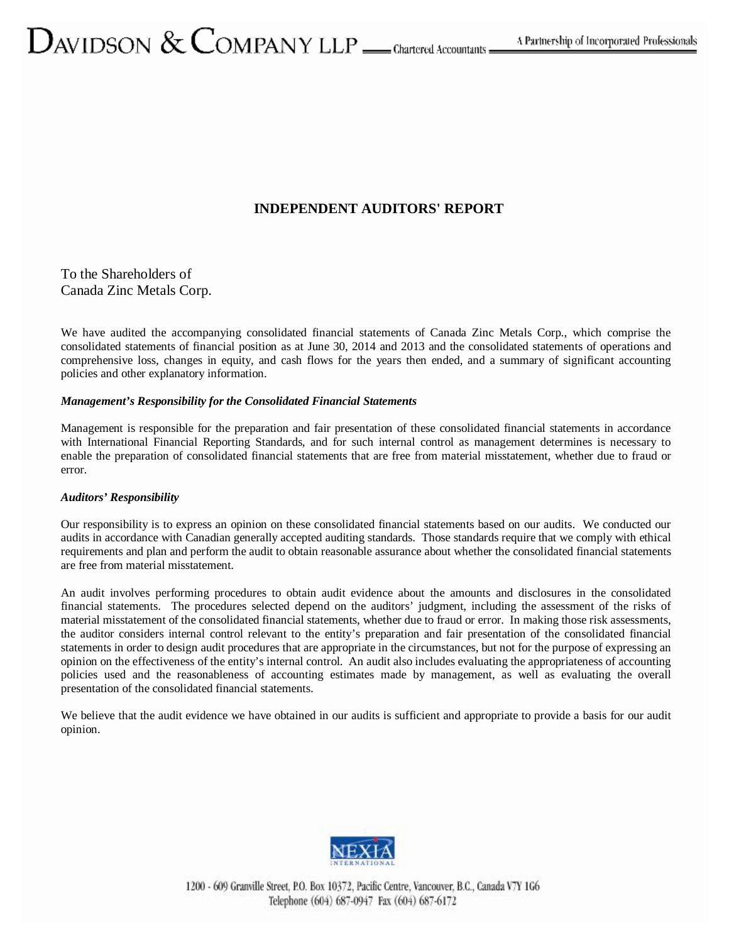# $\mathbf{D}$ AVIDSON & COMPANY LLP  $\_\_\$ Chartered Accountants  $\_\_\$

# **INDEPENDENT AUDITORS' REPORT**

To the Shareholders of Canada Zinc Metals Corp.

We have audited the accompanying consolidated financial statements of Canada Zinc Metals Corp., which comprise the consolidated statements of financial position as at June 30, 2014 and 2013 and the consolidated statements of operations and comprehensive loss, changes in equity, and cash flows for the years then ended, and a summary of significant accounting policies and other explanatory information.

#### *Management's Responsibility for the Consolidated Financial Statements*

Management is responsible for the preparation and fair presentation of these consolidated financial statements in accordance with International Financial Reporting Standards, and for such internal control as management determines is necessary to enable the preparation of consolidated financial statements that are free from material misstatement, whether due to fraud or error.

#### *Auditors' Responsibility*

Our responsibility is to express an opinion on these consolidated financial statements based on our audits. We conducted our audits in accordance with Canadian generally accepted auditing standards. Those standards require that we comply with ethical requirements and plan and perform the audit to obtain reasonable assurance about whether the consolidated financial statements are free from material misstatement.

An audit involves performing procedures to obtain audit evidence about the amounts and disclosures in the consolidated financial statements. The procedures selected depend on the auditors' judgment, including the assessment of the risks of material misstatement of the consolidated financial statements, whether due to fraud or error. In making those risk assessments, the auditor considers internal control relevant to the entity's preparation and fair presentation of the consolidated financial statements in order to design audit procedures that are appropriate in the circumstances, but not for the purpose of expressing an opinion on the effectiveness of the entity's internal control. An audit also includes evaluating the appropriateness of accounting policies used and the reasonableness of accounting estimates made by management, as well as evaluating the overall presentation of the consolidated financial statements.

We believe that the audit evidence we have obtained in our audits is sufficient and appropriate to provide a basis for our audit opinion.

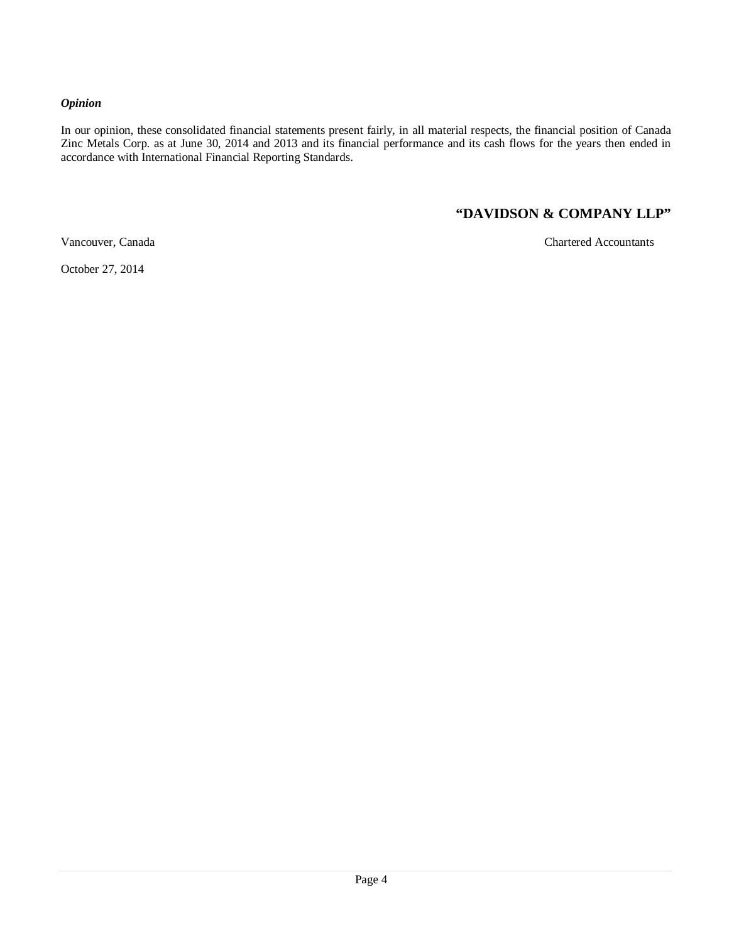#### *Opinion*

In our opinion, these consolidated financial statements present fairly, in all material respects, the financial position of Canada Zinc Metals Corp. as at June 30, 2014 and 2013 and its financial performance and its cash flows for the years then ended in accordance with International Financial Reporting Standards.

# **"DAVIDSON & COMPANY LLP"**

Vancouver, Canada Chartered Accountants

October 27, 2014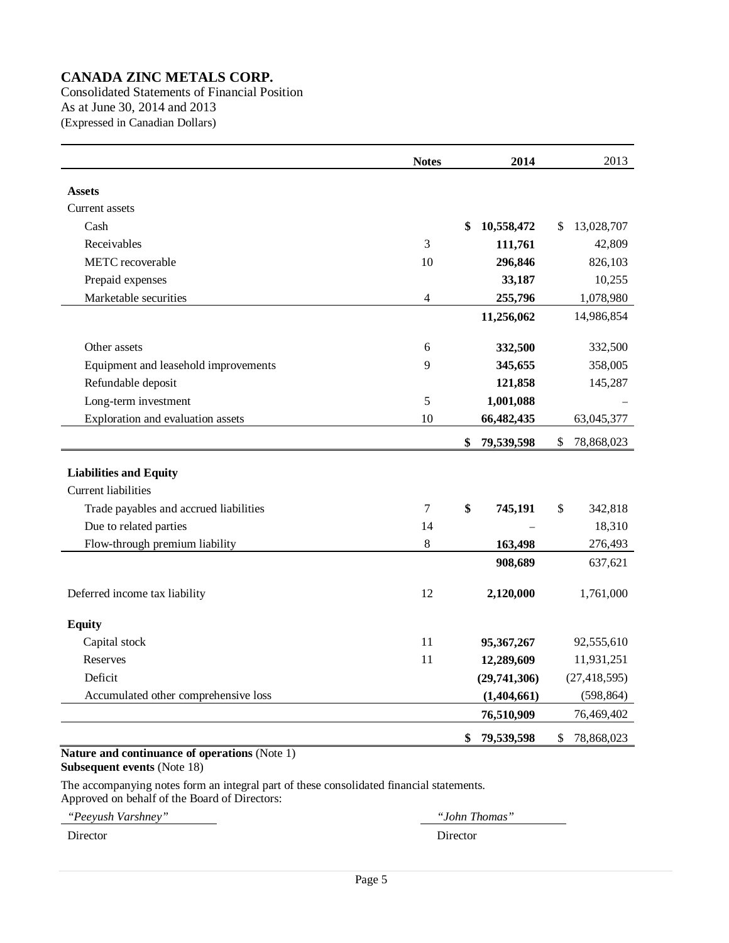Consolidated Statements of Financial Position As at June 30, 2014 and 2013 (Expressed in Canadian Dollars)

|                                        | <b>Notes</b>   | 2014             | 2013             |
|----------------------------------------|----------------|------------------|------------------|
| <b>Assets</b>                          |                |                  |                  |
| Current assets                         |                |                  |                  |
| Cash                                   |                | \$<br>10,558,472 | \$<br>13,028,707 |
| Receivables                            | 3              | 111,761          | 42,809           |
| <b>METC</b> recoverable                | 10             | 296,846          | 826,103          |
| Prepaid expenses                       |                | 33,187           | 10,255           |
| Marketable securities                  | $\overline{4}$ | 255,796          | 1,078,980        |
|                                        |                | 11,256,062       | 14,986,854       |
| Other assets                           | 6              | 332,500          | 332,500          |
| Equipment and leasehold improvements   | 9              | 345,655          | 358,005          |
| Refundable deposit                     |                | 121,858          | 145,287          |
| Long-term investment                   | 5              | 1,001,088        |                  |
| Exploration and evaluation assets      | 10             | 66,482,435       | 63,045,377       |
|                                        |                |                  |                  |
|                                        |                | \$<br>79,539,598 | \$<br>78,868,023 |
| <b>Liabilities and Equity</b>          |                |                  |                  |
| <b>Current liabilities</b>             |                |                  |                  |
| Trade payables and accrued liabilities | 7              | \$<br>745,191    | \$<br>342,818    |
| Due to related parties                 | 14             |                  | 18,310           |
| Flow-through premium liability         | $8\,$          | 163,498          | 276,493          |
|                                        |                | 908,689          | 637,621          |
|                                        |                |                  |                  |
| Deferred income tax liability          | 12             | 2,120,000        | 1,761,000        |
| <b>Equity</b>                          |                |                  |                  |
| Capital stock                          | 11             | 95,367,267       | 92,555,610       |
| Reserves                               | 11             | 12,289,609       | 11,931,251       |
| Deficit                                |                | (29, 741, 306)   | (27, 418, 595)   |
| Accumulated other comprehensive loss   |                | (1,404,661)      | (598, 864)       |
|                                        |                | 76,510,909       | 76,469,402       |
|                                        |                | \$<br>79,539,598 | \$<br>78,868,023 |

#### **Nature and continuance of operations** (Note 1) **Subsequent events** (Note 18)

The accompanying notes form an integral part of these consolidated financial statements. Approved on behalf of the Board of Directors:

| <i>"Peevush Varshney"</i> | "John Thomas" |
|---------------------------|---------------|
| Director                  | Director      |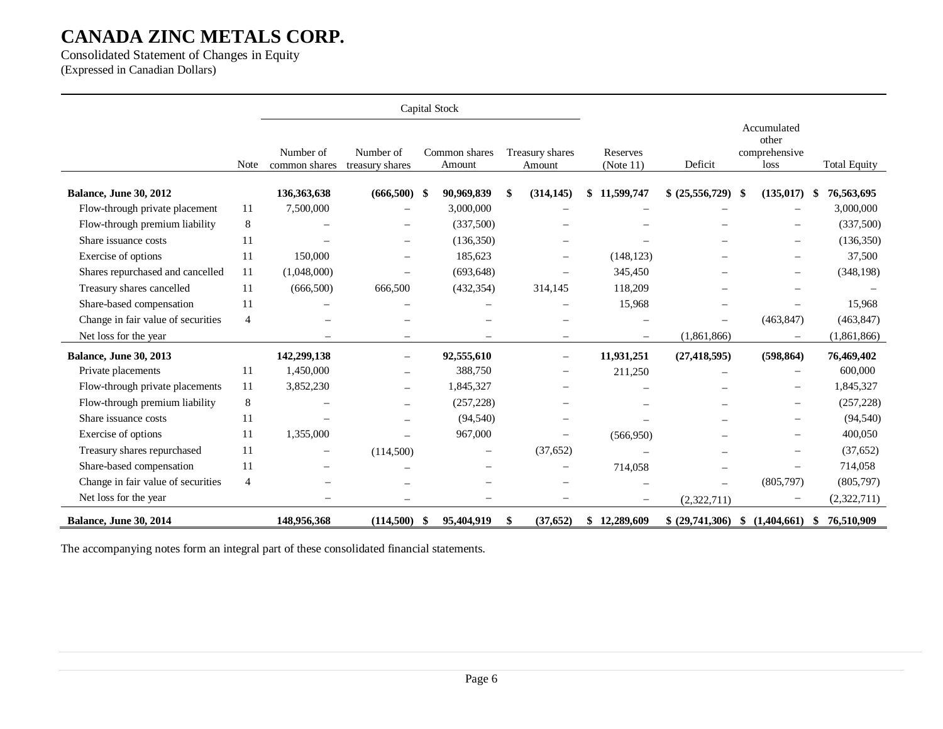Consolidated Statement of Changes in Equity (Expressed in Canadian Dollars)

| Capital Stock                      |                |                            |                              |     |                         |                           |                              |                      |                                               |                     |
|------------------------------------|----------------|----------------------------|------------------------------|-----|-------------------------|---------------------------|------------------------------|----------------------|-----------------------------------------------|---------------------|
|                                    | Note           | Number of<br>common shares | Number of<br>treasury shares |     | Common shares<br>Amount | Treasury shares<br>Amount | <b>Reserves</b><br>(Note 11) | Deficit              | Accumulated<br>other<br>comprehensive<br>loss | <b>Total Equity</b> |
| <b>Balance, June 30, 2012</b>      |                | 136,363,638                | $(666,500)$ \$               |     | 90,969,839              | \$<br>(314, 145)          | \$11,599,747                 | $$ (25,556,729)$ \\$ | (135, 017)                                    | 76,563,695<br>\$    |
| Flow-through private placement     | 11             | 7,500,000                  |                              |     | 3,000,000               |                           |                              |                      |                                               | 3,000,000           |
| Flow-through premium liability     | 8              |                            | $\equiv$                     |     | (337,500)               |                           |                              |                      | $\equiv$                                      | (337,500)           |
| Share issuance costs               | 11             |                            | $\equiv$                     |     | (136, 350)              |                           |                              |                      | $\overline{\phantom{0}}$                      | (136, 350)          |
| Exercise of options                | 11             | 150,000                    |                              |     | 185,623                 |                           | (148, 123)                   |                      | ÷                                             | 37,500              |
| Shares repurchased and cancelled   | 11             | (1,048,000)                |                              |     | (693, 648)              |                           | 345,450                      |                      | $\overline{\phantom{0}}$                      | (348, 198)          |
| Treasury shares cancelled          | 11             | (666, 500)                 | 666,500                      |     | (432, 354)              | 314,145                   | 118,209                      |                      |                                               |                     |
| Share-based compensation           | 11             |                            |                              |     |                         |                           | 15,968                       |                      | $\overline{\phantom{0}}$                      | 15,968              |
| Change in fair value of securities | $\overline{4}$ |                            |                              |     |                         |                           |                              |                      | (463, 847)                                    | (463, 847)          |
| Net loss for the year              |                |                            |                              |     |                         |                           | $\overline{\phantom{0}}$     | (1,861,866)          | $\overline{\phantom{m}}$                      | (1,861,866)         |
| <b>Balance, June 30, 2013</b>      |                | 142,299,138                | $\overline{\phantom{0}}$     |     | 92,555,610              | $\frac{1}{2}$             | 11,931,251                   | (27, 418, 595)       | (598, 864)                                    | 76,469,402          |
| Private placements                 | 11             | 1,450,000                  |                              |     | 388,750                 |                           | 211,250                      |                      |                                               | 600,000             |
| Flow-through private placements    | 11             | 3,852,230                  |                              |     | 1,845,327               |                           |                              |                      | -                                             | 1,845,327           |
| Flow-through premium liability     | 8              |                            |                              |     | (257, 228)              |                           |                              |                      | ÷                                             | (257, 228)          |
| Share issuance costs               | 11             |                            |                              |     | (94, 540)               |                           |                              |                      |                                               | (94, 540)           |
| Exercise of options                | 11             | 1,355,000                  |                              |     | 967,000                 | $\sim$                    | (566,950)                    |                      | $\overline{\phantom{0}}$                      | 400,050             |
| Treasury shares repurchased        | 11             | $\qquad \qquad -$          | (114,500)                    |     |                         | (37, 652)                 |                              |                      | $\overline{\phantom{0}}$                      | (37, 652)           |
| Share-based compensation           | 11             |                            | $\overline{\phantom{a}}$     |     |                         | $\overline{\phantom{0}}$  | 714,058                      | $\equiv$             | $\overline{\phantom{0}}$                      | 714,058             |
| Change in fair value of securities | $\overline{4}$ |                            |                              |     |                         |                           |                              |                      | (805,797)                                     | (805,797)           |
| Net loss for the year              |                |                            |                              |     |                         |                           | $\overline{\phantom{0}}$     | (2,322,711)          |                                               | (2,322,711)         |
| <b>Balance, June 30, 2014</b>      |                | 148,956,368                | (114,500)                    | -\$ | 95,404,919              | \$<br>(37, 652)           | \$12,289,609                 | \$ (29,741,306)      | \$<br>(1,404,661)                             | 76,510,909<br>\$    |

The accompanying notes form an integral part of these consolidated financial statements.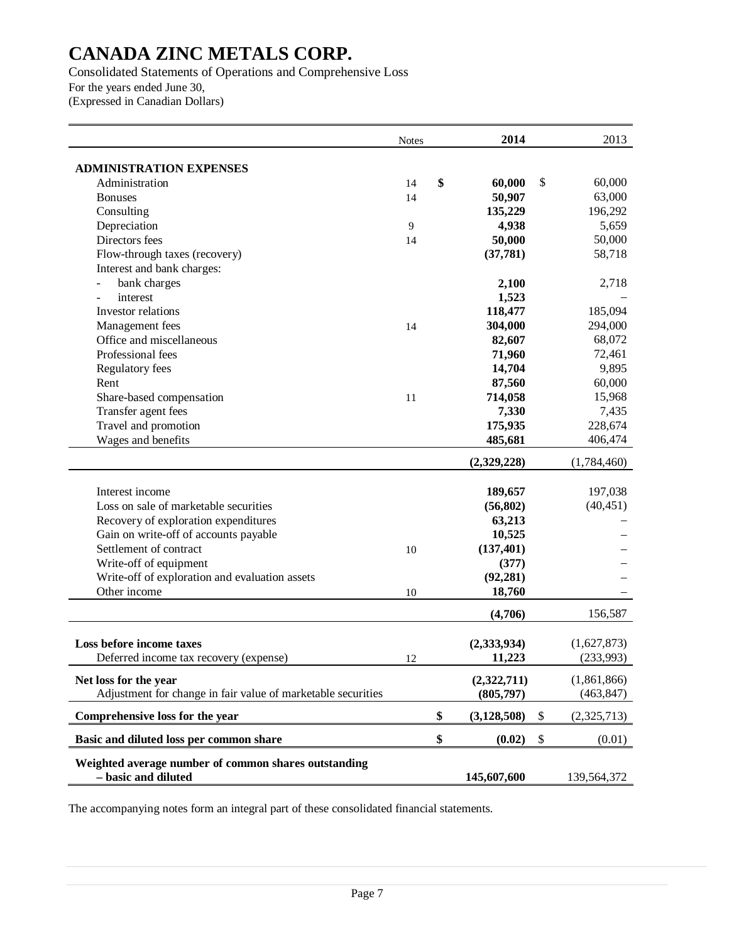Consolidated Statements of Operations and Comprehensive Loss For the years ended June 30, (Expressed in Canadian Dollars)

|                                                                                       | <b>Notes</b> |    | 2014                     |    | 2013                      |
|---------------------------------------------------------------------------------------|--------------|----|--------------------------|----|---------------------------|
| <b>ADMINISTRATION EXPENSES</b>                                                        |              |    |                          |    |                           |
| Administration                                                                        | 14           | \$ | 60,000                   | \$ | 60,000                    |
| <b>Bonuses</b>                                                                        | 14           |    | 50,907                   |    | 63,000                    |
| Consulting                                                                            |              |    | 135,229                  |    | 196,292                   |
| Depreciation                                                                          | 9            |    | 4,938                    |    | 5,659                     |
| Directors fees                                                                        | 14           |    | 50,000                   |    | 50,000                    |
| Flow-through taxes (recovery)                                                         |              |    | (37,781)                 |    | 58,718                    |
| Interest and bank charges:                                                            |              |    |                          |    |                           |
| bank charges<br>$\frac{1}{2}$                                                         |              |    | 2,100                    |    | 2,718                     |
| interest<br>$\blacksquare$                                                            |              |    | 1,523                    |    |                           |
| Investor relations                                                                    |              |    | 118,477                  |    | 185,094                   |
| Management fees                                                                       | 14           |    | 304,000                  |    | 294,000                   |
| Office and miscellaneous                                                              |              |    | 82,607                   |    | 68,072                    |
| Professional fees                                                                     |              |    | 71,960                   |    | 72,461                    |
| Regulatory fees                                                                       |              |    | 14,704                   |    | 9,895                     |
| Rent                                                                                  |              |    | 87,560                   |    | 60,000                    |
| Share-based compensation                                                              | 11           |    | 714,058                  |    | 15,968                    |
| Transfer agent fees                                                                   |              |    | 7,330                    |    | 7,435                     |
| Travel and promotion                                                                  |              |    | 175,935                  |    | 228,674                   |
| Wages and benefits                                                                    |              |    | 485,681                  |    | 406,474                   |
|                                                                                       |              |    |                          |    |                           |
|                                                                                       |              |    | (2,329,228)              |    | (1,784,460)               |
| Interest income                                                                       |              |    | 189,657                  |    | 197,038                   |
| Loss on sale of marketable securities                                                 |              |    | (56, 802)                |    | (40, 451)                 |
| Recovery of exploration expenditures                                                  |              |    | 63,213                   |    |                           |
| Gain on write-off of accounts payable                                                 |              |    | 10,525                   |    |                           |
| Settlement of contract                                                                | 10           |    | (137, 401)               |    |                           |
| Write-off of equipment                                                                |              |    | (377)                    |    |                           |
| Write-off of exploration and evaluation assets                                        |              |    | (92, 281)                |    |                           |
| Other income                                                                          | 10           |    | 18,760                   |    |                           |
|                                                                                       |              |    | (4,706)                  |    | 156,587                   |
|                                                                                       |              |    |                          |    |                           |
| Loss before income taxes                                                              |              |    | (2, 333, 934)            |    | (1,627,873)               |
| Deferred income tax recovery (expense)                                                | 12           |    | 11,223                   |    | (233,993)                 |
| Net loss for the year<br>Adjustment for change in fair value of marketable securities |              |    | (2,322,711)<br>(805,797) |    | (1,861,866)<br>(463, 847) |
| Comprehensive loss for the year                                                       |              | \$ | (3, 128, 508)            | \$ | (2,325,713)               |
| Basic and diluted loss per common share                                               |              | \$ | (0.02)                   | \$ | (0.01)                    |
| Weighted average number of common shares outstanding                                  |              |    |                          |    |                           |
| - basic and diluted                                                                   |              |    | 145,607,600              |    | 139,564,372               |

The accompanying notes form an integral part of these consolidated financial statements.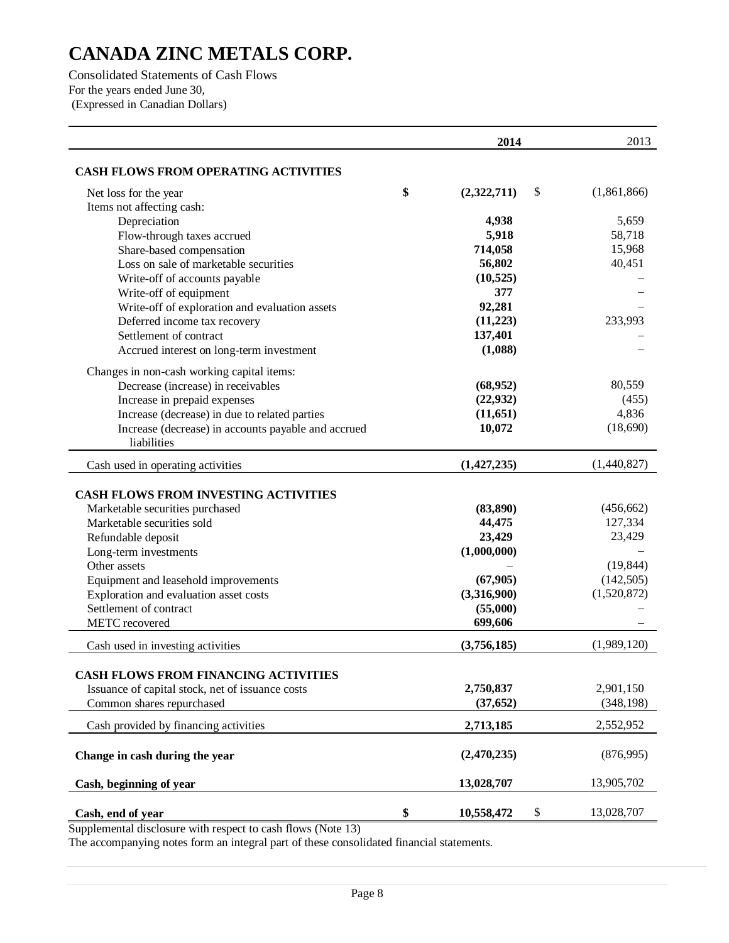Consolidated Statements of Cash Flows For the years ended June 30, (Expressed in Canadian Dollars)

|                                                     | 2014                    | 2013                      |
|-----------------------------------------------------|-------------------------|---------------------------|
| <b>CASH FLOWS FROM OPERATING ACTIVITIES</b>         |                         |                           |
| Net loss for the year                               | \$<br>(2,322,711)<br>\$ | (1,861,866)               |
| Items not affecting cash:                           |                         |                           |
| Depreciation                                        | 4,938                   | 5,659                     |
| Flow-through taxes accrued                          | 5,918                   | 58,718                    |
| Share-based compensation                            | 714,058                 | 15,968                    |
| Loss on sale of marketable securities               | 56,802                  | 40,451                    |
| Write-off of accounts payable                       | (10, 525)               |                           |
| Write-off of equipment                              | 377                     |                           |
| Write-off of exploration and evaluation assets      | 92,281                  |                           |
| Deferred income tax recovery                        | (11,223)                | 233,993                   |
| Settlement of contract                              | 137,401                 |                           |
| Accrued interest on long-term investment            | (1,088)                 |                           |
| Changes in non-cash working capital items:          |                         |                           |
| Decrease (increase) in receivables                  | (68,952)                | 80,559                    |
| Increase in prepaid expenses                        | (22, 932)               | (455)                     |
| Increase (decrease) in due to related parties       | (11, 651)               | 4,836                     |
| Increase (decrease) in accounts payable and accrued | 10,072                  | (18,690)                  |
| liabilities                                         |                         |                           |
| Cash used in operating activities                   | (1,427,235)             | (1,440,827)               |
|                                                     |                         |                           |
| <b>CASH FLOWS FROM INVESTING ACTIVITIES</b>         |                         |                           |
| Marketable securities purchased                     | (83, 890)               | (456, 662)                |
| Marketable securities sold                          | 44,475                  | 127,334                   |
| Refundable deposit                                  | 23,429                  | 23,429                    |
| Long-term investments                               | (1,000,000)             |                           |
| Other assets                                        |                         | (19, 844)                 |
| Equipment and leasehold improvements                | (67,905)                | (142, 505)<br>(1,520,872) |
| Exploration and evaluation asset costs              | (3,316,900)             |                           |
| Settlement of contract                              | (55,000)                |                           |
| METC recovered                                      | 699,606                 |                           |
| Cash used in investing activities                   | (3,756,185)             | (1,989,120)               |
| <b>CASH FLOWS FROM FINANCING ACTIVITIES</b>         |                         |                           |
| Issuance of capital stock, net of issuance costs    | 2,750,837               | 2,901,150                 |
| Common shares repurchased                           | (37, 652)               | (348, 198)                |
| Cash provided by financing activities               | 2,713,185               | 2,552,952                 |
| Change in cash during the year                      | (2,470,235)             | (876,995)                 |
|                                                     |                         |                           |
| Cash, beginning of year                             | 13,028,707              | 13,905,702                |
| Cash, end of year                                   | \$<br>\$<br>10,558,472  | 13,028,707                |

Supplemental disclosure with respect to cash flows (Note 13)

The accompanying notes form an integral part of these consolidated financial statements.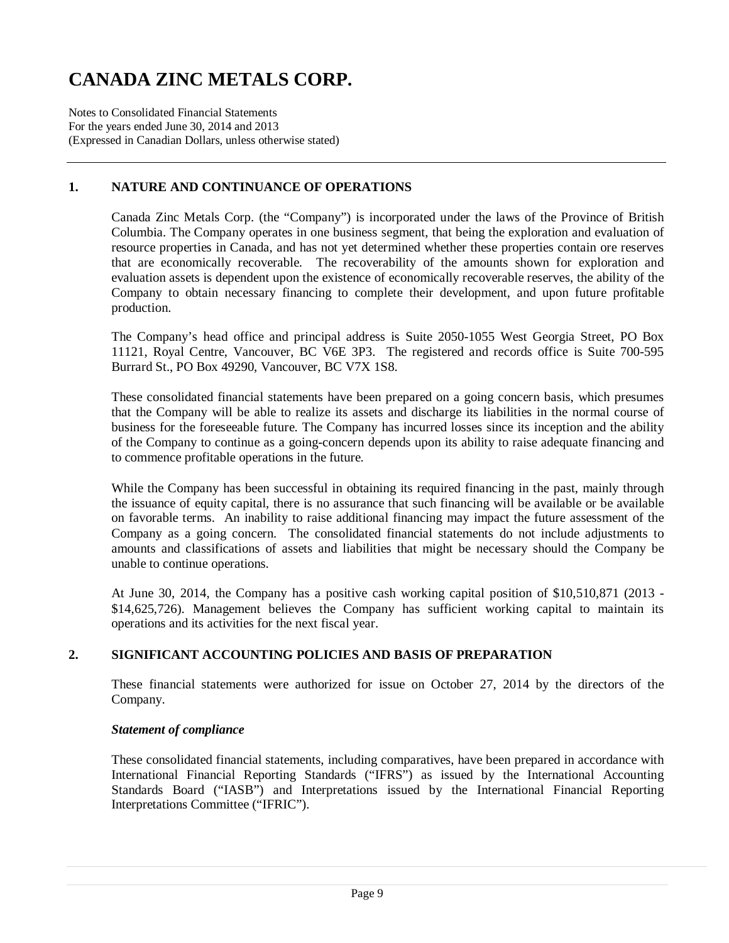Notes to Consolidated Financial Statements For the years ended June 30, 2014 and 2013 (Expressed in Canadian Dollars, unless otherwise stated)

# **1. NATURE AND CONTINUANCE OF OPERATIONS**

Canada Zinc Metals Corp. (the "Company") is incorporated under the laws of the Province of British Columbia. The Company operates in one business segment, that being the exploration and evaluation of resource properties in Canada, and has not yet determined whether these properties contain ore reserves that are economically recoverable. The recoverability of the amounts shown for exploration and evaluation assets is dependent upon the existence of economically recoverable reserves, the ability of the Company to obtain necessary financing to complete their development, and upon future profitable production.

The Company's head office and principal address is Suite 2050-1055 West Georgia Street, PO Box 11121, Royal Centre, Vancouver, BC V6E 3P3. The registered and records office is Suite 700-595 Burrard St., PO Box 49290, Vancouver, BC V7X 1S8.

These consolidated financial statements have been prepared on a going concern basis, which presumes that the Company will be able to realize its assets and discharge its liabilities in the normal course of business for the foreseeable future. The Company has incurred losses since its inception and the ability of the Company to continue as a going-concern depends upon its ability to raise adequate financing and to commence profitable operations in the future.

While the Company has been successful in obtaining its required financing in the past, mainly through the issuance of equity capital, there is no assurance that such financing will be available or be available on favorable terms. An inability to raise additional financing may impact the future assessment of the Company as a going concern. The consolidated financial statements do not include adjustments to amounts and classifications of assets and liabilities that might be necessary should the Company be unable to continue operations.

At June 30, 2014, the Company has a positive cash working capital position of \$10,510,871 (2013 - \$14,625,726). Management believes the Company has sufficient working capital to maintain its operations and its activities for the next fiscal year.

# **2. SIGNIFICANT ACCOUNTING POLICIES AND BASIS OF PREPARATION**

These financial statements were authorized for issue on October 27, 2014 by the directors of the Company.

### *Statement of compliance*

These consolidated financial statements, including comparatives, have been prepared in accordance with International Financial Reporting Standards ("IFRS") as issued by the International Accounting Standards Board ("IASB") and Interpretations issued by the International Financial Reporting Interpretations Committee ("IFRIC").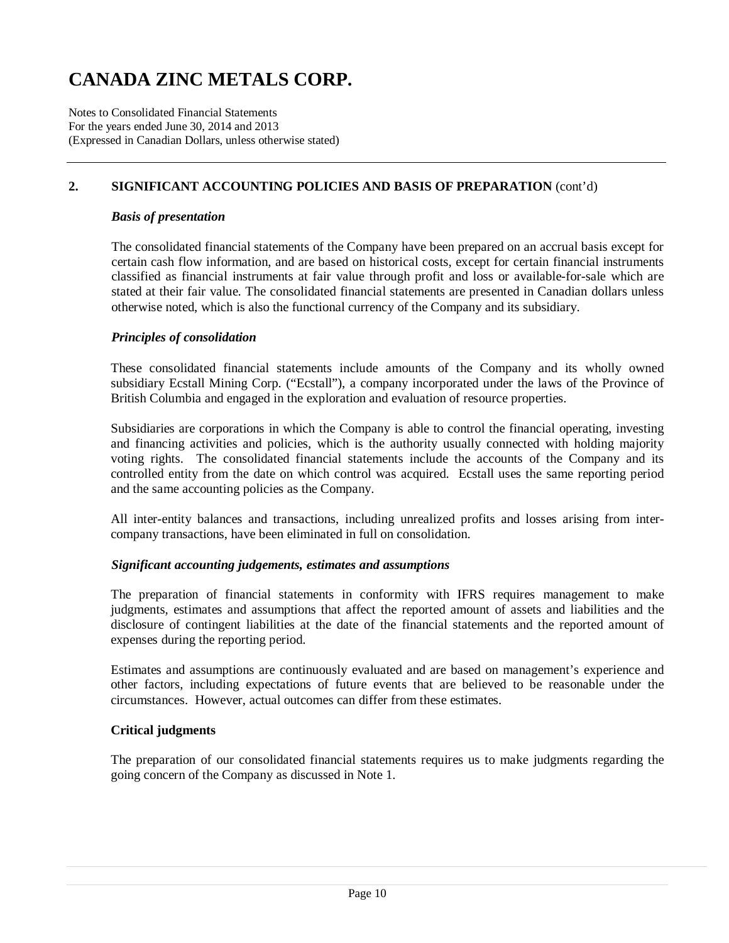Notes to Consolidated Financial Statements For the years ended June 30, 2014 and 2013 (Expressed in Canadian Dollars, unless otherwise stated)

### **2. SIGNIFICANT ACCOUNTING POLICIES AND BASIS OF PREPARATION** (cont'd)

#### *Basis of presentation*

The consolidated financial statements of the Company have been prepared on an accrual basis except for certain cash flow information, and are based on historical costs, except for certain financial instruments classified as financial instruments at fair value through profit and loss or available-for-sale which are stated at their fair value. The consolidated financial statements are presented in Canadian dollars unless otherwise noted, which is also the functional currency of the Company and its subsidiary.

#### *Principles of consolidation*

These consolidated financial statements include amounts of the Company and its wholly owned subsidiary Ecstall Mining Corp. ("Ecstall"), a company incorporated under the laws of the Province of British Columbia and engaged in the exploration and evaluation of resource properties.

Subsidiaries are corporations in which the Company is able to control the financial operating, investing and financing activities and policies, which is the authority usually connected with holding majority voting rights. The consolidated financial statements include the accounts of the Company and its controlled entity from the date on which control was acquired. Ecstall uses the same reporting period and the same accounting policies as the Company.

All inter-entity balances and transactions, including unrealized profits and losses arising from intercompany transactions, have been eliminated in full on consolidation.

#### *Significant accounting judgements, estimates and assumptions*

The preparation of financial statements in conformity with IFRS requires management to make judgments, estimates and assumptions that affect the reported amount of assets and liabilities and the disclosure of contingent liabilities at the date of the financial statements and the reported amount of expenses during the reporting period.

Estimates and assumptions are continuously evaluated and are based on management's experience and other factors, including expectations of future events that are believed to be reasonable under the circumstances. However, actual outcomes can differ from these estimates.

#### **Critical judgments**

The preparation of our consolidated financial statements requires us to make judgments regarding the going concern of the Company as discussed in Note 1.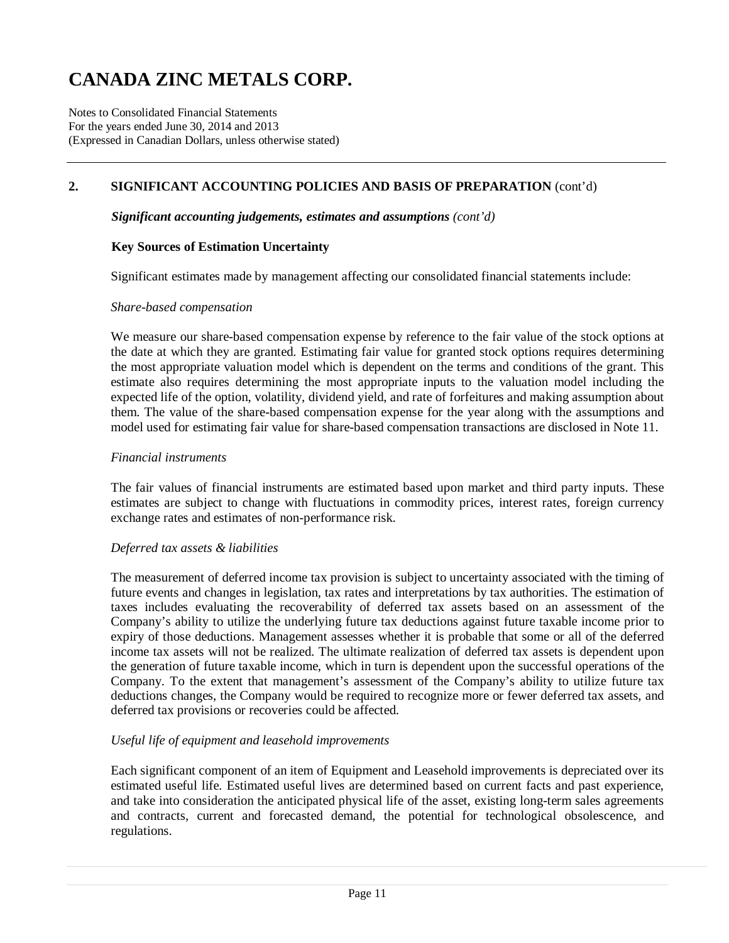Notes to Consolidated Financial Statements For the years ended June 30, 2014 and 2013 (Expressed in Canadian Dollars, unless otherwise stated)

# **2. SIGNIFICANT ACCOUNTING POLICIES AND BASIS OF PREPARATION** (cont'd)

*Significant accounting judgements, estimates and assumptions (cont'd)*

#### **Key Sources of Estimation Uncertainty**

Significant estimates made by management affecting our consolidated financial statements include:

#### *Share-based compensation*

We measure our share-based compensation expense by reference to the fair value of the stock options at the date at which they are granted. Estimating fair value for granted stock options requires determining the most appropriate valuation model which is dependent on the terms and conditions of the grant. This estimate also requires determining the most appropriate inputs to the valuation model including the expected life of the option, volatility, dividend yield, and rate of forfeitures and making assumption about them. The value of the share-based compensation expense for the year along with the assumptions and model used for estimating fair value for share-based compensation transactions are disclosed in Note 11.

#### *Financial instruments*

The fair values of financial instruments are estimated based upon market and third party inputs. These estimates are subject to change with fluctuations in commodity prices, interest rates, foreign currency exchange rates and estimates of non-performance risk.

#### *Deferred tax assets & liabilities*

The measurement of deferred income tax provision is subject to uncertainty associated with the timing of future events and changes in legislation, tax rates and interpretations by tax authorities. The estimation of taxes includes evaluating the recoverability of deferred tax assets based on an assessment of the Company's ability to utilize the underlying future tax deductions against future taxable income prior to expiry of those deductions. Management assesses whether it is probable that some or all of the deferred income tax assets will not be realized. The ultimate realization of deferred tax assets is dependent upon the generation of future taxable income, which in turn is dependent upon the successful operations of the Company. To the extent that management's assessment of the Company's ability to utilize future tax deductions changes, the Company would be required to recognize more or fewer deferred tax assets, and deferred tax provisions or recoveries could be affected.

#### *Useful life of equipment and leasehold improvements*

Each significant component of an item of Equipment and Leasehold improvements is depreciated over its estimated useful life. Estimated useful lives are determined based on current facts and past experience, and take into consideration the anticipated physical life of the asset, existing long-term sales agreements and contracts, current and forecasted demand, the potential for technological obsolescence, and regulations.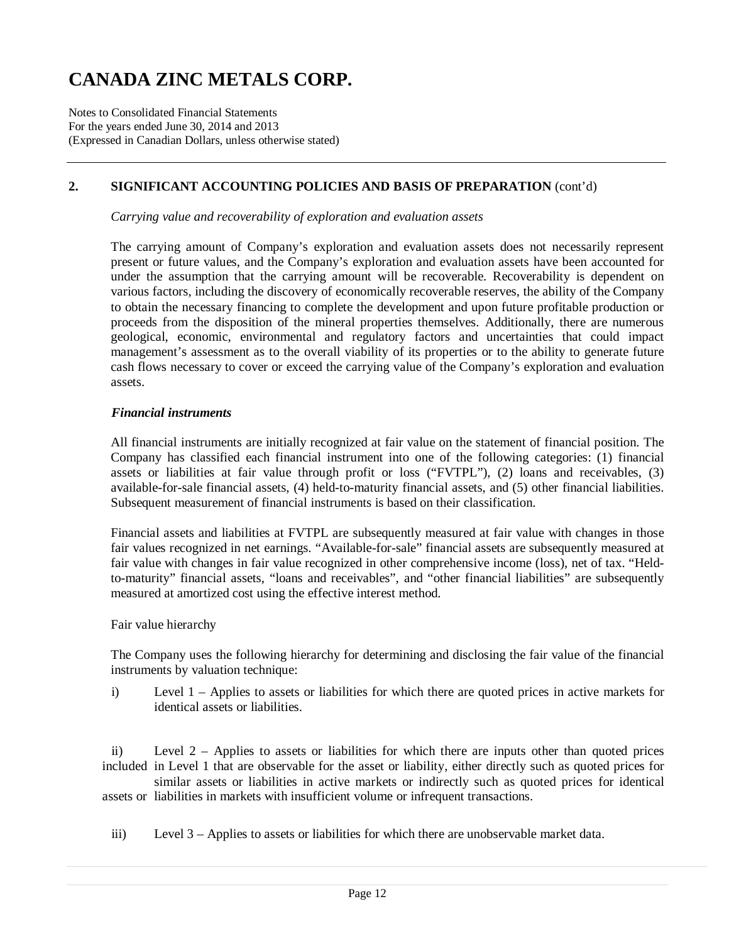Notes to Consolidated Financial Statements For the years ended June 30, 2014 and 2013 (Expressed in Canadian Dollars, unless otherwise stated)

### **2. SIGNIFICANT ACCOUNTING POLICIES AND BASIS OF PREPARATION** (cont'd)

*Carrying value and recoverability of exploration and evaluation assets* 

The carrying amount of Company's exploration and evaluation assets does not necessarily represent present or future values, and the Company's exploration and evaluation assets have been accounted for under the assumption that the carrying amount will be recoverable. Recoverability is dependent on various factors, including the discovery of economically recoverable reserves, the ability of the Company to obtain the necessary financing to complete the development and upon future profitable production or proceeds from the disposition of the mineral properties themselves. Additionally, there are numerous geological, economic, environmental and regulatory factors and uncertainties that could impact management's assessment as to the overall viability of its properties or to the ability to generate future cash flows necessary to cover or exceed the carrying value of the Company's exploration and evaluation assets.

#### *Financial instruments*

All financial instruments are initially recognized at fair value on the statement of financial position. The Company has classified each financial instrument into one of the following categories: (1) financial assets or liabilities at fair value through profit or loss ("FVTPL"), (2) loans and receivables, (3) available-for-sale financial assets, (4) held-to-maturity financial assets, and (5) other financial liabilities. Subsequent measurement of financial instruments is based on their classification.

Financial assets and liabilities at FVTPL are subsequently measured at fair value with changes in those fair values recognized in net earnings. "Available-for-sale" financial assets are subsequently measured at fair value with changes in fair value recognized in other comprehensive income (loss), net of tax. "Heldto-maturity" financial assets, "loans and receivables", and "other financial liabilities" are subsequently measured at amortized cost using the effective interest method.

#### Fair value hierarchy

The Company uses the following hierarchy for determining and disclosing the fair value of the financial instruments by valuation technique:

i) Level 1 – Applies to assets or liabilities for which there are quoted prices in active markets for identical assets or liabilities.

ii) Level 2 – Applies to assets or liabilities for which there are inputs other than quoted prices included in Level 1 that are observable for the asset or liability, either directly such as quoted prices for similar assets or liabilities in active markets or indirectly such as quoted prices for identical assets or liabilities in markets with insufficient volume or infrequent transactions.

iii) Level 3 – Applies to assets or liabilities for which there are unobservable market data.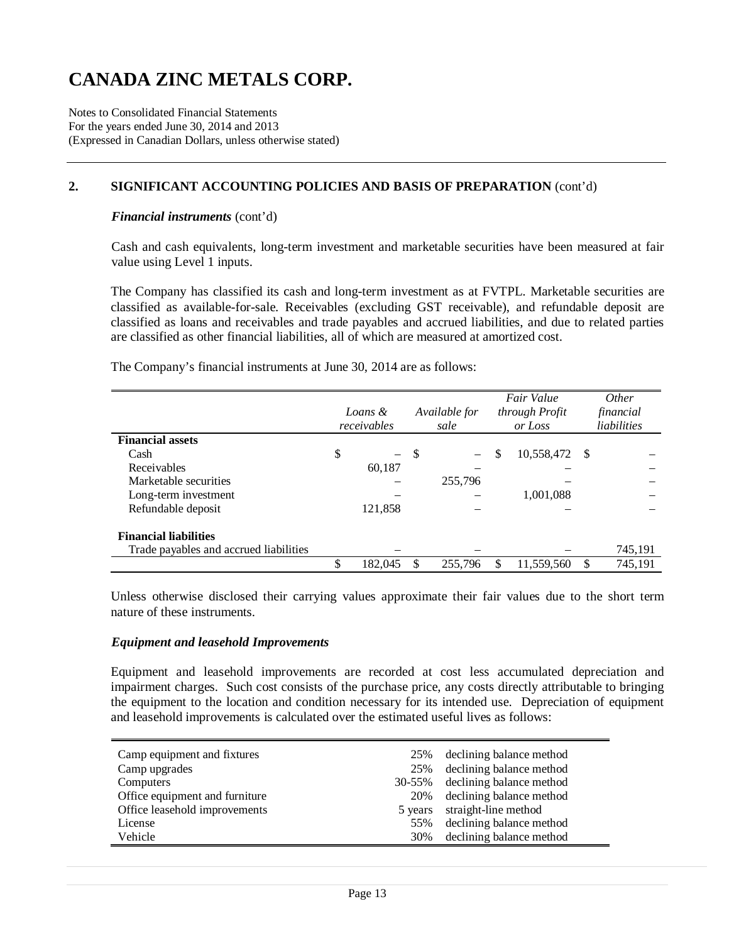Notes to Consolidated Financial Statements For the years ended June 30, 2014 and 2013 (Expressed in Canadian Dollars, unless otherwise stated)

### **2. SIGNIFICANT ACCOUNTING POLICIES AND BASIS OF PREPARATION** (cont'd)

#### *Financial instruments* (cont'd)

Cash and cash equivalents, long-term investment and marketable securities have been measured at fair value using Level 1 inputs.

The Company has classified its cash and long-term investment as at FVTPL. Marketable securities are classified as available-for-sale. Receivables (excluding GST receivable), and refundable deposit are classified as loans and receivables and trade payables and accrued liabilities, and due to related parties are classified as other financial liabilities, all of which are measured at amortized cost.

|                                        | Loans &<br>receivables |                          | Available for<br>sale |         | Fair Value<br>through Profit<br>or Loss |            | <i>Other</i><br>financial<br>liabilities |         |
|----------------------------------------|------------------------|--------------------------|-----------------------|---------|-----------------------------------------|------------|------------------------------------------|---------|
| <b>Financial assets</b>                |                        |                          |                       |         |                                         |            |                                          |         |
| Cash                                   | \$                     | $\overline{\phantom{0}}$ | \$                    |         | \$                                      | 10,558,472 | -S                                       |         |
| Receivables                            |                        | 60,187                   |                       |         |                                         |            |                                          |         |
| Marketable securities                  |                        |                          |                       | 255,796 |                                         |            |                                          |         |
| Long-term investment                   |                        |                          |                       |         |                                         | 1,001,088  |                                          |         |
| Refundable deposit                     |                        | 121,858                  |                       |         |                                         |            |                                          |         |
| <b>Financial liabilities</b>           |                        |                          |                       |         |                                         |            |                                          |         |
| Trade payables and accrued liabilities |                        |                          |                       |         |                                         |            |                                          | 745,191 |
|                                        | \$                     | 182,045                  | \$                    | 255,796 | S                                       | 11,559,560 | \$.                                      | 745,191 |

The Company's financial instruments at June 30, 2014 are as follows:

Unless otherwise disclosed their carrying values approximate their fair values due to the short term nature of these instruments.

#### *Equipment and leasehold Improvements*

Equipment and leasehold improvements are recorded at cost less accumulated depreciation and impairment charges. Such cost consists of the purchase price, any costs directly attributable to bringing the equipment to the location and condition necessary for its intended use. Depreciation of equipment and leasehold improvements is calculated over the estimated useful lives as follows:

| Camp equipment and fixtures    | 25%     | declining balance method |
|--------------------------------|---------|--------------------------|
| Camp upgrades                  | 25%     | declining balance method |
| Computers                      | 30-55%  | declining balance method |
| Office equipment and furniture | 20%     | declining balance method |
| Office leasehold improvements  | 5 years | straight-line method     |
| License                        | 55%     | declining balance method |
| Vehicle                        | 30%     | declining balance method |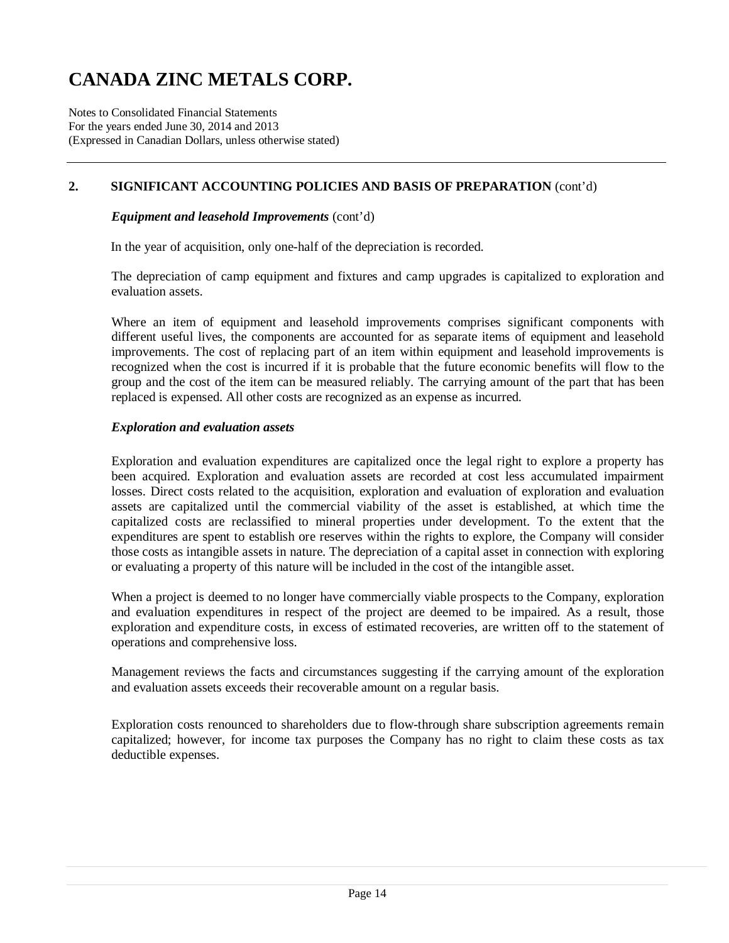Notes to Consolidated Financial Statements For the years ended June 30, 2014 and 2013 (Expressed in Canadian Dollars, unless otherwise stated)

### **2. SIGNIFICANT ACCOUNTING POLICIES AND BASIS OF PREPARATION** (cont'd)

#### *Equipment and leasehold Improvements* (cont'd)

In the year of acquisition, only one-half of the depreciation is recorded.

The depreciation of camp equipment and fixtures and camp upgrades is capitalized to exploration and evaluation assets.

Where an item of equipment and leasehold improvements comprises significant components with different useful lives, the components are accounted for as separate items of equipment and leasehold improvements. The cost of replacing part of an item within equipment and leasehold improvements is recognized when the cost is incurred if it is probable that the future economic benefits will flow to the group and the cost of the item can be measured reliably. The carrying amount of the part that has been replaced is expensed. All other costs are recognized as an expense as incurred.

#### *Exploration and evaluation assets*

Exploration and evaluation expenditures are capitalized once the legal right to explore a property has been acquired. Exploration and evaluation assets are recorded at cost less accumulated impairment losses. Direct costs related to the acquisition, exploration and evaluation of exploration and evaluation assets are capitalized until the commercial viability of the asset is established, at which time the capitalized costs are reclassified to mineral properties under development. To the extent that the expenditures are spent to establish ore reserves within the rights to explore, the Company will consider those costs as intangible assets in nature. The depreciation of a capital asset in connection with exploring or evaluating a property of this nature will be included in the cost of the intangible asset.

When a project is deemed to no longer have commercially viable prospects to the Company, exploration and evaluation expenditures in respect of the project are deemed to be impaired. As a result, those exploration and expenditure costs, in excess of estimated recoveries, are written off to the statement of operations and comprehensive loss.

Management reviews the facts and circumstances suggesting if the carrying amount of the exploration and evaluation assets exceeds their recoverable amount on a regular basis.

Exploration costs renounced to shareholders due to flow-through share subscription agreements remain capitalized; however, for income tax purposes the Company has no right to claim these costs as tax deductible expenses.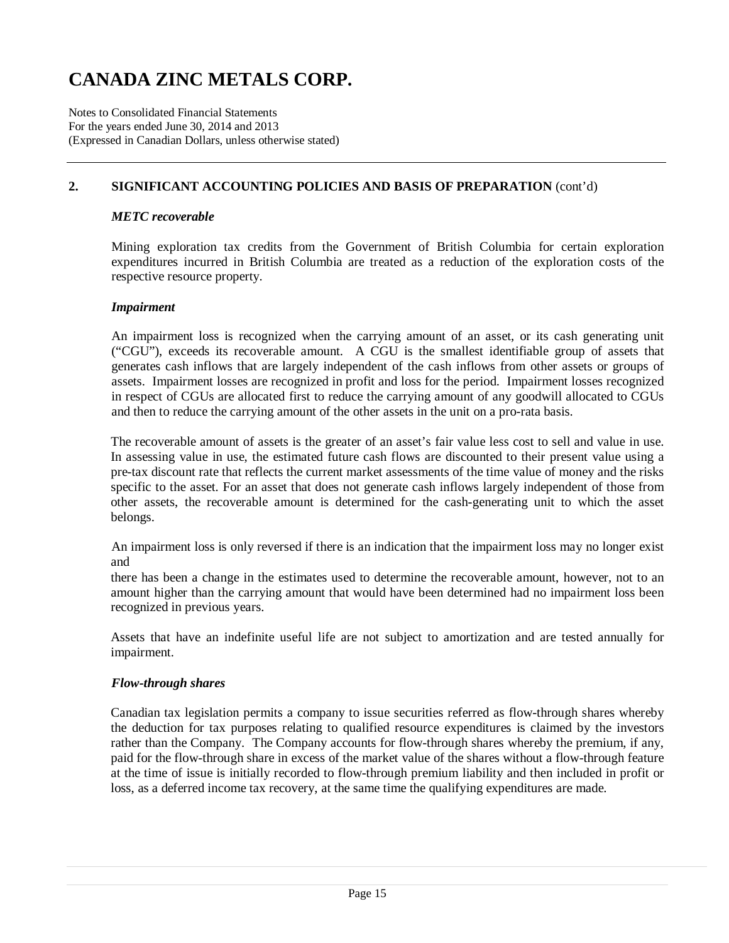Notes to Consolidated Financial Statements For the years ended June 30, 2014 and 2013 (Expressed in Canadian Dollars, unless otherwise stated)

### **2. SIGNIFICANT ACCOUNTING POLICIES AND BASIS OF PREPARATION** (cont'd)

#### *METC recoverable*

Mining exploration tax credits from the Government of British Columbia for certain exploration expenditures incurred in British Columbia are treated as a reduction of the exploration costs of the respective resource property.

#### *Impairment*

An impairment loss is recognized when the carrying amount of an asset, or its cash generating unit ("CGU"), exceeds its recoverable amount. A CGU is the smallest identifiable group of assets that generates cash inflows that are largely independent of the cash inflows from other assets or groups of assets. Impairment losses are recognized in profit and loss for the period. Impairment losses recognized in respect of CGUs are allocated first to reduce the carrying amount of any goodwill allocated to CGUs and then to reduce the carrying amount of the other assets in the unit on a pro-rata basis.

The recoverable amount of assets is the greater of an asset's fair value less cost to sell and value in use. In assessing value in use, the estimated future cash flows are discounted to their present value using a pre-tax discount rate that reflects the current market assessments of the time value of money and the risks specific to the asset. For an asset that does not generate cash inflows largely independent of those from other assets, the recoverable amount is determined for the cash-generating unit to which the asset belongs.

An impairment loss is only reversed if there is an indication that the impairment loss may no longer exist and

there has been a change in the estimates used to determine the recoverable amount, however, not to an amount higher than the carrying amount that would have been determined had no impairment loss been recognized in previous years.

Assets that have an indefinite useful life are not subject to amortization and are tested annually for impairment.

### *Flow-through shares*

Canadian tax legislation permits a company to issue securities referred as flow-through shares whereby the deduction for tax purposes relating to qualified resource expenditures is claimed by the investors rather than the Company. The Company accounts for flow-through shares whereby the premium, if any, paid for the flow-through share in excess of the market value of the shares without a flow-through feature at the time of issue is initially recorded to flow-through premium liability and then included in profit or loss, as a deferred income tax recovery, at the same time the qualifying expenditures are made.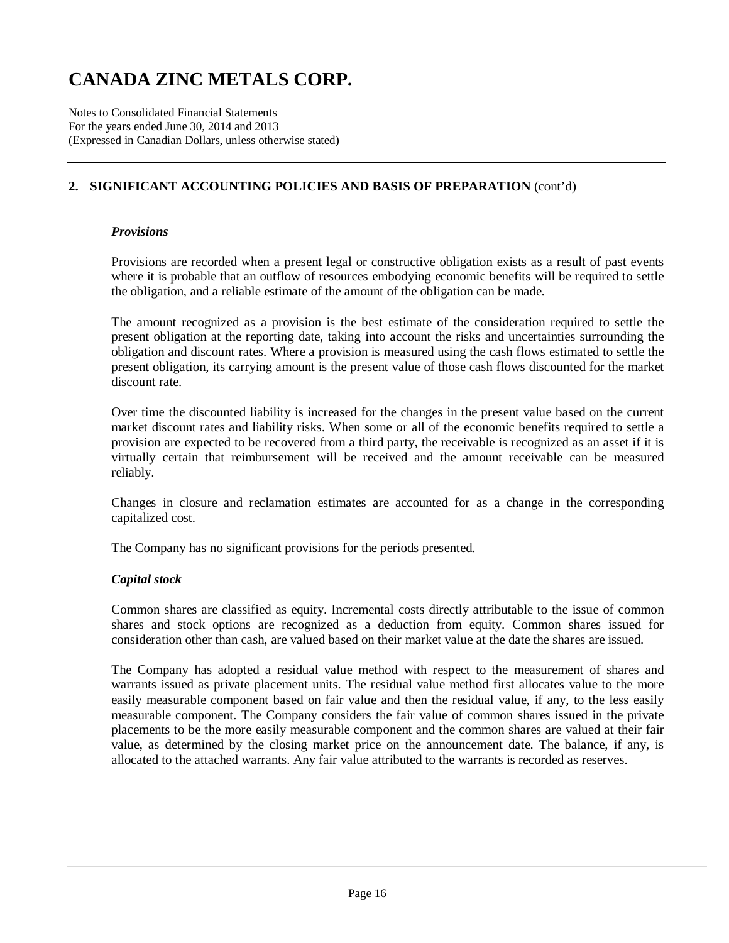Notes to Consolidated Financial Statements For the years ended June 30, 2014 and 2013 (Expressed in Canadian Dollars, unless otherwise stated)

### **2. SIGNIFICANT ACCOUNTING POLICIES AND BASIS OF PREPARATION** (cont'd)

#### *Provisions*

Provisions are recorded when a present legal or constructive obligation exists as a result of past events where it is probable that an outflow of resources embodying economic benefits will be required to settle the obligation, and a reliable estimate of the amount of the obligation can be made.

The amount recognized as a provision is the best estimate of the consideration required to settle the present obligation at the reporting date, taking into account the risks and uncertainties surrounding the obligation and discount rates. Where a provision is measured using the cash flows estimated to settle the present obligation, its carrying amount is the present value of those cash flows discounted for the market discount rate.

Over time the discounted liability is increased for the changes in the present value based on the current market discount rates and liability risks. When some or all of the economic benefits required to settle a provision are expected to be recovered from a third party, the receivable is recognized as an asset if it is virtually certain that reimbursement will be received and the amount receivable can be measured reliably.

Changes in closure and reclamation estimates are accounted for as a change in the corresponding capitalized cost.

The Company has no significant provisions for the periods presented.

### *Capital stock*

Common shares are classified as equity. Incremental costs directly attributable to the issue of common shares and stock options are recognized as a deduction from equity. Common shares issued for consideration other than cash, are valued based on their market value at the date the shares are issued.

The Company has adopted a residual value method with respect to the measurement of shares and warrants issued as private placement units. The residual value method first allocates value to the more easily measurable component based on fair value and then the residual value, if any, to the less easily measurable component. The Company considers the fair value of common shares issued in the private placements to be the more easily measurable component and the common shares are valued at their fair value, as determined by the closing market price on the announcement date. The balance, if any, is allocated to the attached warrants. Any fair value attributed to the warrants is recorded as reserves.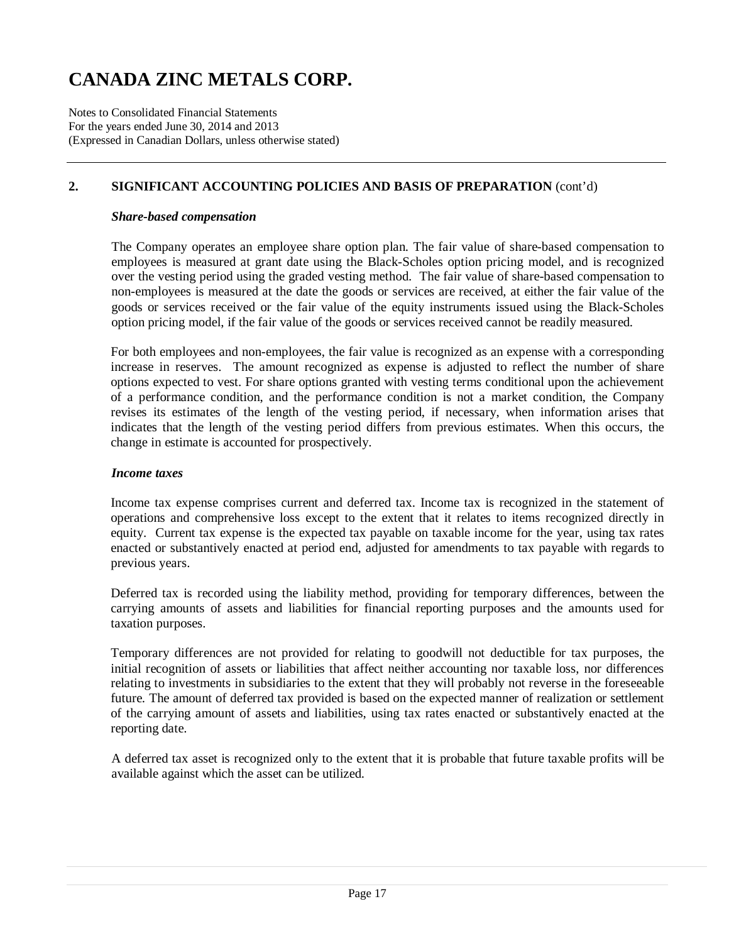Notes to Consolidated Financial Statements For the years ended June 30, 2014 and 2013 (Expressed in Canadian Dollars, unless otherwise stated)

### **2. SIGNIFICANT ACCOUNTING POLICIES AND BASIS OF PREPARATION** (cont'd)

#### *Share-based compensation*

The Company operates an employee share option plan. The fair value of share-based compensation to employees is measured at grant date using the Black-Scholes option pricing model, and is recognized over the vesting period using the graded vesting method. The fair value of share-based compensation to non-employees is measured at the date the goods or services are received, at either the fair value of the goods or services received or the fair value of the equity instruments issued using the Black-Scholes option pricing model, if the fair value of the goods or services received cannot be readily measured.

For both employees and non-employees, the fair value is recognized as an expense with a corresponding increase in reserves. The amount recognized as expense is adjusted to reflect the number of share options expected to vest. For share options granted with vesting terms conditional upon the achievement of a performance condition, and the performance condition is not a market condition, the Company revises its estimates of the length of the vesting period, if necessary, when information arises that indicates that the length of the vesting period differs from previous estimates. When this occurs, the change in estimate is accounted for prospectively.

### *Income taxes*

Income tax expense comprises current and deferred tax. Income tax is recognized in the statement of operations and comprehensive loss except to the extent that it relates to items recognized directly in equity. Current tax expense is the expected tax payable on taxable income for the year, using tax rates enacted or substantively enacted at period end, adjusted for amendments to tax payable with regards to previous years.

Deferred tax is recorded using the liability method, providing for temporary differences, between the carrying amounts of assets and liabilities for financial reporting purposes and the amounts used for taxation purposes.

Temporary differences are not provided for relating to goodwill not deductible for tax purposes, the initial recognition of assets or liabilities that affect neither accounting nor taxable loss, nor differences relating to investments in subsidiaries to the extent that they will probably not reverse in the foreseeable future. The amount of deferred tax provided is based on the expected manner of realization or settlement of the carrying amount of assets and liabilities, using tax rates enacted or substantively enacted at the reporting date.

A deferred tax asset is recognized only to the extent that it is probable that future taxable profits will be available against which the asset can be utilized.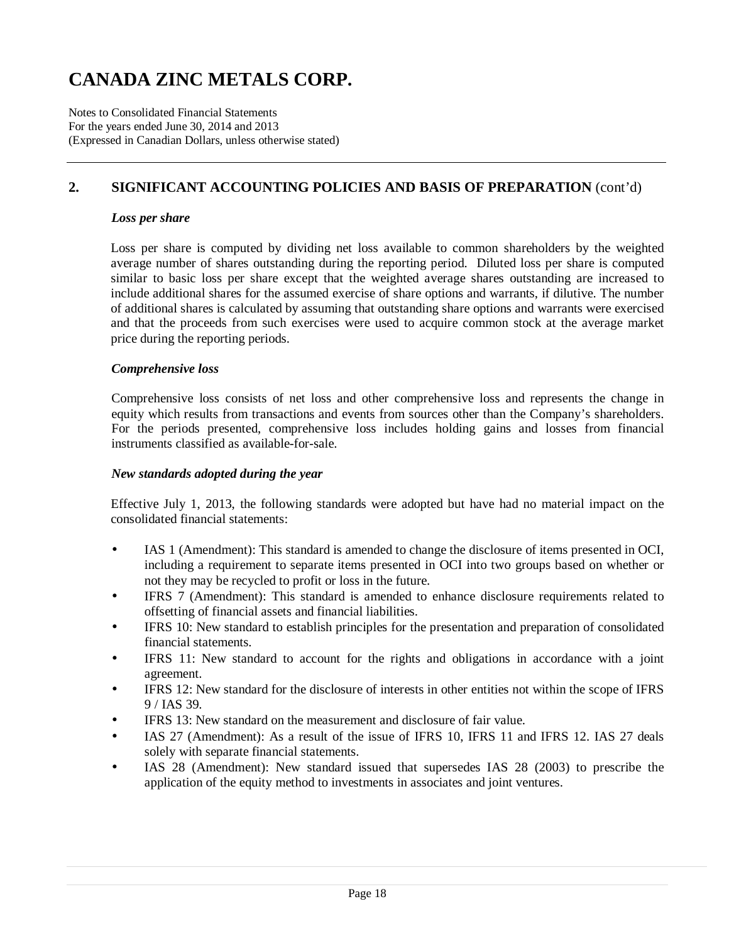Notes to Consolidated Financial Statements For the years ended June 30, 2014 and 2013 (Expressed in Canadian Dollars, unless otherwise stated)

# **2. SIGNIFICANT ACCOUNTING POLICIES AND BASIS OF PREPARATION** (cont'd)

#### *Loss per share*

Loss per share is computed by dividing net loss available to common shareholders by the weighted average number of shares outstanding during the reporting period. Diluted loss per share is computed similar to basic loss per share except that the weighted average shares outstanding are increased to include additional shares for the assumed exercise of share options and warrants, if dilutive. The number of additional shares is calculated by assuming that outstanding share options and warrants were exercised and that the proceeds from such exercises were used to acquire common stock at the average market price during the reporting periods.

#### *Comprehensive loss*

Comprehensive loss consists of net loss and other comprehensive loss and represents the change in equity which results from transactions and events from sources other than the Company's shareholders. For the periods presented, comprehensive loss includes holding gains and losses from financial instruments classified as available-for-sale.

#### *New standards adopted during the year*

Effective July 1, 2013, the following standards were adopted but have had no material impact on the consolidated financial statements:

- IAS 1 (Amendment): This standard is amended to change the disclosure of items presented in OCI, including a requirement to separate items presented in OCI into two groups based on whether or not they may be recycled to profit or loss in the future.
- IFRS 7 (Amendment): This standard is amended to enhance disclosure requirements related to offsetting of financial assets and financial liabilities.
- IFRS 10: New standard to establish principles for the presentation and preparation of consolidated financial statements.
- IFRS 11: New standard to account for the rights and obligations in accordance with a joint agreement.
- IFRS 12: New standard for the disclosure of interests in other entities not within the scope of IFRS 9 / IAS 39.
- IFRS 13: New standard on the measurement and disclosure of fair value.
- IAS 27 (Amendment): As a result of the issue of IFRS 10, IFRS 11 and IFRS 12. IAS 27 deals solely with separate financial statements.
- IAS 28 (Amendment): New standard issued that supersedes IAS 28 (2003) to prescribe the application of the equity method to investments in associates and joint ventures.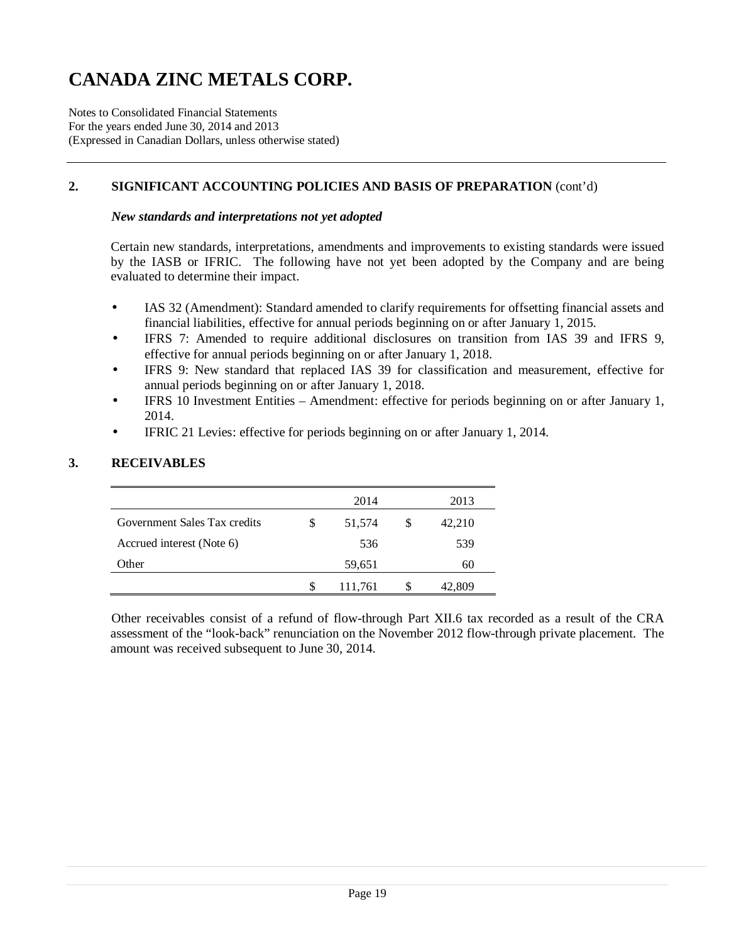Notes to Consolidated Financial Statements For the years ended June 30, 2014 and 2013 (Expressed in Canadian Dollars, unless otherwise stated)

### **2. SIGNIFICANT ACCOUNTING POLICIES AND BASIS OF PREPARATION** (cont'd)

#### *New standards and interpretations not yet adopted*

Certain new standards, interpretations, amendments and improvements to existing standards were issued by the IASB or IFRIC. The following have not yet been adopted by the Company and are being evaluated to determine their impact.

- IAS 32 (Amendment): Standard amended to clarify requirements for offsetting financial assets and financial liabilities, effective for annual periods beginning on or after January 1, 2015.
- IFRS 7: Amended to require additional disclosures on transition from IAS 39 and IFRS 9, effective for annual periods beginning on or after January 1, 2018.
- IFRS 9: New standard that replaced IAS 39 for classification and measurement, effective for annual periods beginning on or after January 1, 2018.
- IFRS 10 Investment Entities Amendment: effective for periods beginning on or after January 1, 2014.
- IFRIC 21 Levies: effective for periods beginning on or after January 1, 2014.

### **3. RECEIVABLES**

|                              |   | 2014    |   | 2013   |
|------------------------------|---|---------|---|--------|
| Government Sales Tax credits | S | 51,574  | S | 42,210 |
| Accrued interest (Note 6)    |   | 536     |   | 539    |
| Other                        |   | 59,651  |   | 60     |
|                              | S | 111,761 |   | 42,809 |

Other receivables consist of a refund of flow-through Part XII.6 tax recorded as a result of the CRA assessment of the "look-back" renunciation on the November 2012 flow-through private placement. The amount was received subsequent to June 30, 2014.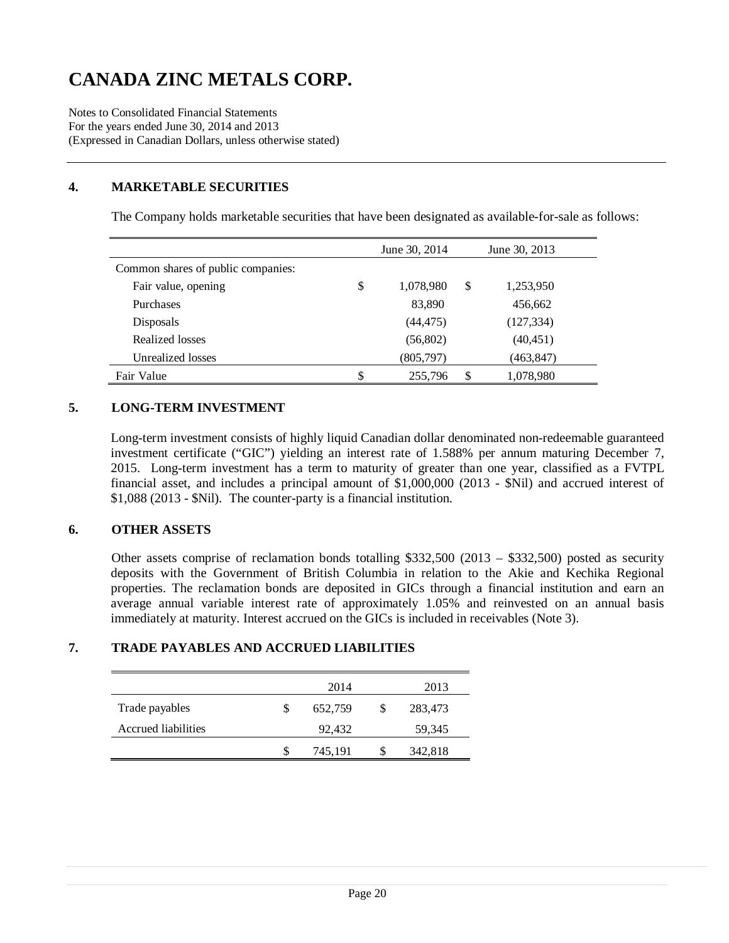Notes to Consolidated Financial Statements For the years ended June 30, 2014 and 2013 (Expressed in Canadian Dollars, unless otherwise stated)

### **4. MARKETABLE SECURITIES**

The Company holds marketable securities that have been designated as available-for-sale as follows:

|                                    | June 30, 2014   | June 30, 2013   |
|------------------------------------|-----------------|-----------------|
| Common shares of public companies: |                 |                 |
| Fair value, opening                | \$<br>1,078,980 | \$<br>1,253,950 |
| Purchases                          | 83,890          | 456,662         |
| Disposals                          | (44, 475)       | (127, 334)      |
| Realized losses                    | (56, 802)       | (40, 451)       |
| Unrealized losses                  | (805,797)       | (463,847)       |
| Fair Value                         | 255,796         | \$<br>1,078,980 |

### **5. LONG-TERM INVESTMENT**

Long-term investment consists of highly liquid Canadian dollar denominated non-redeemable guaranteed investment certificate ("GIC") yielding an interest rate of 1.588% per annum maturing December 7, 2015. Long-term investment has a term to maturity of greater than one year, classified as a FVTPL financial asset, and includes a principal amount of \$1,000,000 (2013 - \$Nil) and accrued interest of \$1,088 (2013 - \$Nil). The counter-party is a financial institution.

#### **6. OTHER ASSETS**

Other assets comprise of reclamation bonds totalling \$332,500 (2013 – \$332,500) posted as security deposits with the Government of British Columbia in relation to the Akie and Kechika Regional properties. The reclamation bonds are deposited in GICs through a financial institution and earn an average annual variable interest rate of approximately 1.05% and reinvested on an annual basis immediately at maturity. Interest accrued on the GICs is included in receivables (Note 3).

#### **7. TRADE PAYABLES AND ACCRUED LIABILITIES**

|                     | 2014          | 2013    |  |
|---------------------|---------------|---------|--|
| Trade payables      | \$<br>652,759 | 283,473 |  |
| Accrued liabilities | 92.432        | 59,345  |  |
|                     | \$<br>745,191 | 342,818 |  |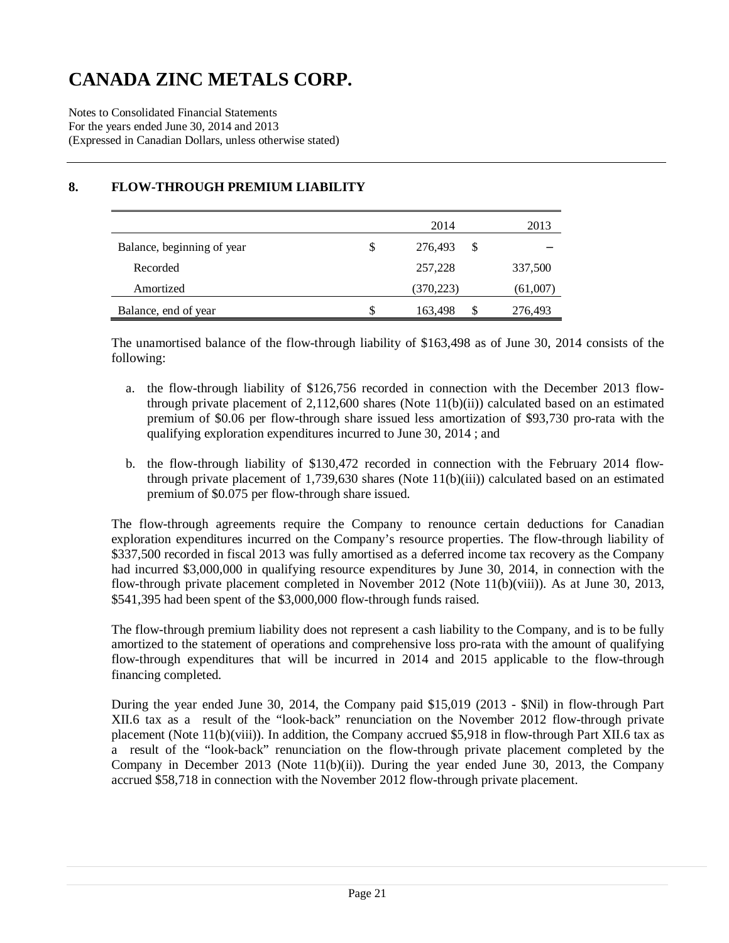Notes to Consolidated Financial Statements For the years ended June 30, 2014 and 2013 (Expressed in Canadian Dollars, unless otherwise stated)

|                            | 2014                | 2013     |
|----------------------------|---------------------|----------|
| Balance, beginning of year | \$<br>276,493<br>\$ |          |
| Recorded                   | 257,228             | 337,500  |
| Amortized                  | (370, 223)          | (61,007) |
| Balance, end of year       | 163,498<br>\$       | 276,493  |

# **8. FLOW-THROUGH PREMIUM LIABILITY**

The unamortised balance of the flow-through liability of \$163,498 as of June 30, 2014 consists of the following:

- a. the flow-through liability of \$126,756 recorded in connection with the December 2013 flowthrough private placement of  $2,112,600$  shares (Note  $11(b)(ii)$ ) calculated based on an estimated premium of \$0.06 per flow-through share issued less amortization of \$93,730 pro-rata with the qualifying exploration expenditures incurred to June 30, 2014 ; and
- b. the flow-through liability of \$130,472 recorded in connection with the February 2014 flowthrough private placement of 1,739,630 shares (Note 11(b)(iii)) calculated based on an estimated premium of \$0.075 per flow-through share issued.

The flow-through agreements require the Company to renounce certain deductions for Canadian exploration expenditures incurred on the Company's resource properties. The flow-through liability of \$337,500 recorded in fiscal 2013 was fully amortised as a deferred income tax recovery as the Company had incurred \$3,000,000 in qualifying resource expenditures by June 30, 2014, in connection with the flow-through private placement completed in November 2012 (Note 11(b)(viii)). As at June 30, 2013, \$541,395 had been spent of the \$3,000,000 flow-through funds raised.

The flow-through premium liability does not represent a cash liability to the Company, and is to be fully amortized to the statement of operations and comprehensive loss pro-rata with the amount of qualifying flow-through expenditures that will be incurred in 2014 and 2015 applicable to the flow-through financing completed.

During the year ended June 30, 2014, the Company paid \$15,019 (2013 - \$Nil) in flow-through Part XII.6 tax as a result of the "look-back" renunciation on the November 2012 flow-through private placement (Note 11(b)(viii)). In addition, the Company accrued \$5,918 in flow-through Part XII.6 tax as a result of the "look-back" renunciation on the flow-through private placement completed by the Company in December 2013 (Note 11(b)(ii)). During the year ended June 30, 2013, the Company accrued \$58,718 in connection with the November 2012 flow-through private placement.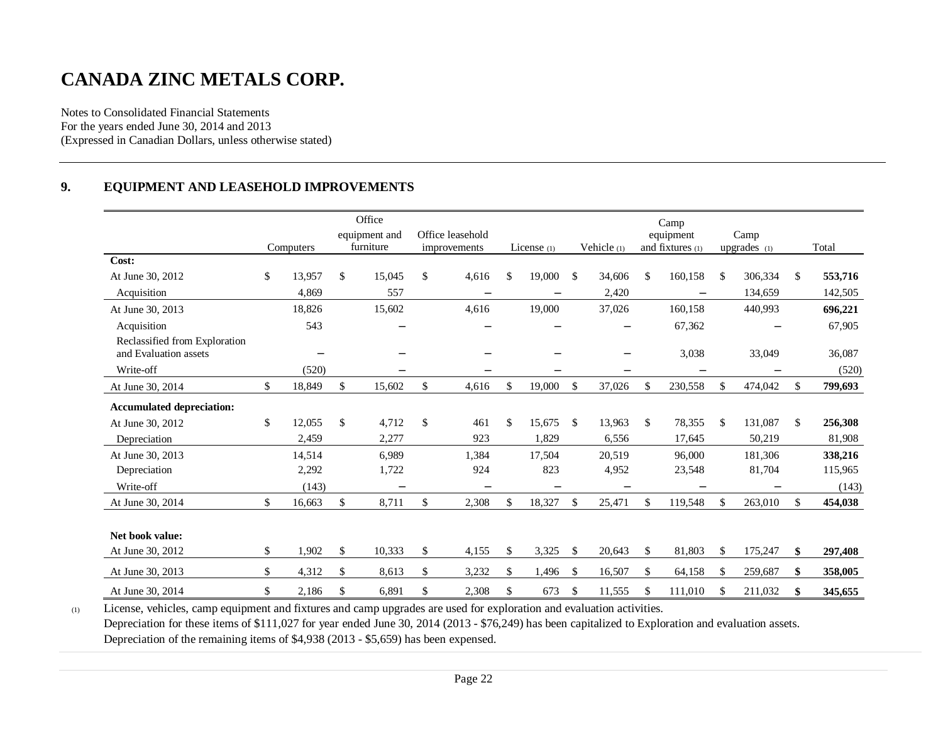Notes to Consolidated Financial Statements For the years ended June 30, 2014 and 2013 (Expressed in Canadian Dollars, unless otherwise stated)

### **9. EQUIPMENT AND LEASEHOLD IMPROVEMENTS**

|                                                        |              | Computers |               | Office<br>equipment and<br>furniture |               | Office leasehold<br>improvements | License (1)              |              | Vehicle (1)              | Camp<br>equipment<br>and fixtures $(1)$ |               | Camp<br>$upgrades$ (1) |              | Total   |
|--------------------------------------------------------|--------------|-----------|---------------|--------------------------------------|---------------|----------------------------------|--------------------------|--------------|--------------------------|-----------------------------------------|---------------|------------------------|--------------|---------|
| Cost:                                                  |              |           |               |                                      |               |                                  |                          |              |                          |                                         |               |                        |              |         |
| At June 30, 2012                                       | \$           | 13,957    | \$            | 15,045                               | \$            | 4,616                            | \$<br>19,000             | \$           | 34,606                   | \$<br>160,158                           | \$.           | 306,334                | $\mathbb{S}$ | 553,716 |
| Acquisition                                            |              | 4,869     |               | 557                                  |               | $\overline{\phantom{m}}$         | $\overline{\phantom{m}}$ |              | 2,420                    | $\overline{\phantom{m}}$                |               | 134,659                |              | 142,505 |
| At June 30, 2013                                       |              | 18,826    |               | 15,602                               |               | 4,616                            | 19,000                   |              | 37,026                   | 160,158                                 |               | 440,993                |              | 696,221 |
| Acquisition                                            |              | 543       |               | $\qquad \qquad -$                    |               |                                  |                          |              | $\overline{\phantom{m}}$ | 67,362                                  |               | $\qquad \qquad -$      |              | 67,905  |
| Reclassified from Exploration<br>and Evaluation assets |              |           |               |                                      |               |                                  |                          |              | $\qquad \qquad$          | 3,038                                   |               | 33,049                 |              | 36,087  |
| Write-off                                              |              | (520)     |               | $\equiv$                             |               |                                  | $\qquad \qquad$          |              | $\qquad \qquad$          | $\overline{\phantom{0}}$                |               |                        |              | (520)   |
| At June 30, 2014                                       | \$           | 18,849    | $\mathsf{\$}$ | 15,602                               | \$            | 4,616                            | \$<br>19,000             | $\mathbb{S}$ | 37,026                   | \$<br>230,558                           | \$            | 474,042                | \$           | 799,693 |
| <b>Accumulated depreciation:</b>                       |              |           |               |                                      |               |                                  |                          |              |                          |                                         |               |                        |              |         |
| At June 30, 2012                                       | $\mathbb{S}$ | 12,055    | $\mathbb{S}$  | 4,712                                | $\mathbf{\$}$ | 461                              | \$<br>15,675             | \$           | 13,963                   | \$<br>78,355                            | <sup>\$</sup> | 131,087                | \$           | 256,308 |
| Depreciation                                           |              | 2,459     |               | 2,277                                |               | 923                              | 1,829                    |              | 6,556                    | 17,645                                  |               | 50,219                 |              | 81,908  |
| At June 30, 2013                                       |              | 14,514    |               | 6,989                                |               | 1,384                            | 17,504                   |              | 20,519                   | 96,000                                  |               | 181,306                |              | 338,216 |
| Depreciation                                           |              | 2,292     |               | 1,722                                |               | 924                              | 823                      |              | 4,952                    | 23,548                                  |               | 81,704                 |              | 115,965 |
| Write-off                                              |              | (143)     |               |                                      |               |                                  | $\overline{\phantom{m}}$ |              |                          |                                         |               |                        |              | (143)   |
| At June 30, 2014                                       | \$           | 16,663    | \$            | 8,711                                | \$            | 2,308                            | \$<br>18,327             | \$           | 25,471                   | \$<br>119,548                           | \$            | 263,010                | $\mathbb{S}$ | 454,038 |
| Net book value:<br>At June 30, 2012                    | \$           | 1,902     | \$            | 10,333                               | \$            | 4,155                            | \$<br>3,325              | \$           | 20,643                   | \$<br>81,803                            | \$            | 175,247                | \$           | 297,408 |
| At June 30, 2013                                       | $\mathbb{S}$ | 4,312     | \$            | 8,613                                | \$            | 3,232                            | \$<br>1,496              | \$           | 16,507                   | \$<br>64,158                            | \$            | 259,687                | \$           | 358,005 |
| At June 30, 2014                                       | \$           | 2,186     | \$            | 6,891                                | \$            | 2,308                            | \$<br>673                | \$           | 11,555                   | \$<br>111,010                           | \$.           | 211,032                | \$           | 345,655 |

(1) License, vehicles, camp equipment and fixtures and camp upgrades are used for exploration and evaluation activities. Depreciation for these items of \$111,027 for year ended June 30, 2014 (2013 - \$76,249) has been capitalized to Exploration and evaluation assets. Depreciation of the remaining items of \$4,938 (2013 - \$5,659) has been expensed.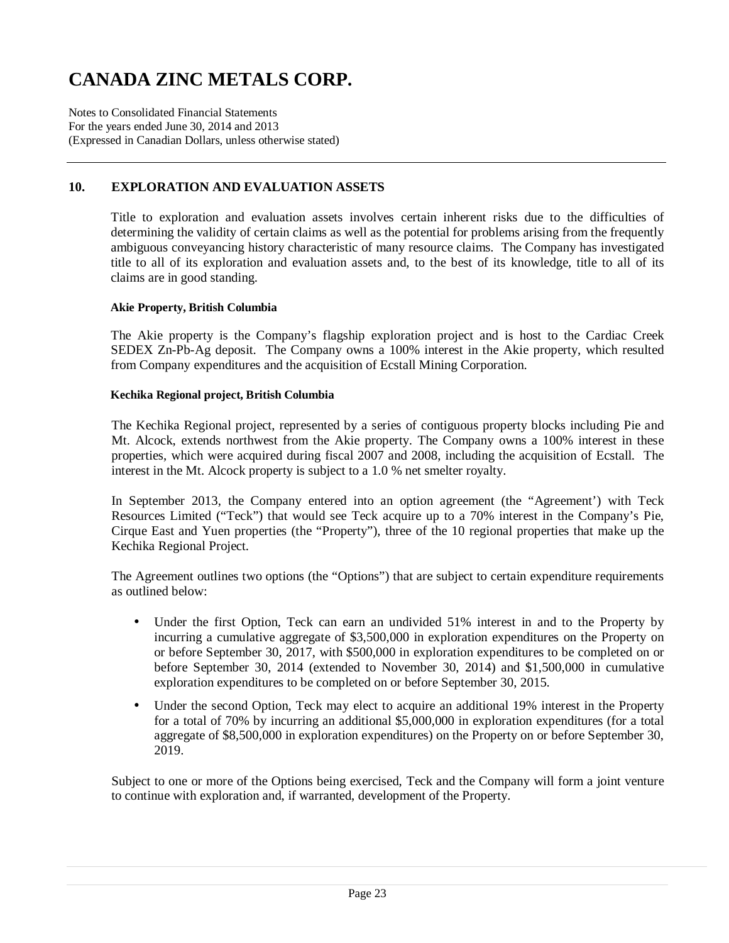Notes to Consolidated Financial Statements For the years ended June 30, 2014 and 2013 (Expressed in Canadian Dollars, unless otherwise stated)

### **10. EXPLORATION AND EVALUATION ASSETS**

Title to exploration and evaluation assets involves certain inherent risks due to the difficulties of determining the validity of certain claims as well as the potential for problems arising from the frequently ambiguous conveyancing history characteristic of many resource claims. The Company has investigated title to all of its exploration and evaluation assets and, to the best of its knowledge, title to all of its claims are in good standing.

#### **Akie Property, British Columbia**

The Akie property is the Company's flagship exploration project and is host to the Cardiac Creek SEDEX Zn-Pb-Ag deposit. The Company owns a 100% interest in the Akie property, which resulted from Company expenditures and the acquisition of Ecstall Mining Corporation.

#### **Kechika Regional project, British Columbia**

The Kechika Regional project, represented by a series of contiguous property blocks including Pie and Mt. Alcock, extends northwest from the Akie property. The Company owns a 100% interest in these properties, which were acquired during fiscal 2007 and 2008, including the acquisition of Ecstall. The interest in the Mt. Alcock property is subject to a 1.0 % net smelter royalty.

In September 2013, the Company entered into an option agreement (the "Agreement') with Teck Resources Limited ("Teck") that would see Teck acquire up to a 70% interest in the Company's Pie, Cirque East and Yuen properties (the "Property"), three of the 10 regional properties that make up the Kechika Regional Project.

The Agreement outlines two options (the "Options") that are subject to certain expenditure requirements as outlined below:

- Under the first Option, Teck can earn an undivided 51% interest in and to the Property by incurring a cumulative aggregate of \$3,500,000 in exploration expenditures on the Property on or before September 30, 2017, with \$500,000 in exploration expenditures to be completed on or before September 30, 2014 (extended to November 30, 2014) and \$1,500,000 in cumulative exploration expenditures to be completed on or before September 30, 2015.
- Under the second Option, Teck may elect to acquire an additional 19% interest in the Property for a total of 70% by incurring an additional \$5,000,000 in exploration expenditures (for a total aggregate of \$8,500,000 in exploration expenditures) on the Property on or before September 30, 2019.

Subject to one or more of the Options being exercised, Teck and the Company will form a joint venture to continue with exploration and, if warranted, development of the Property.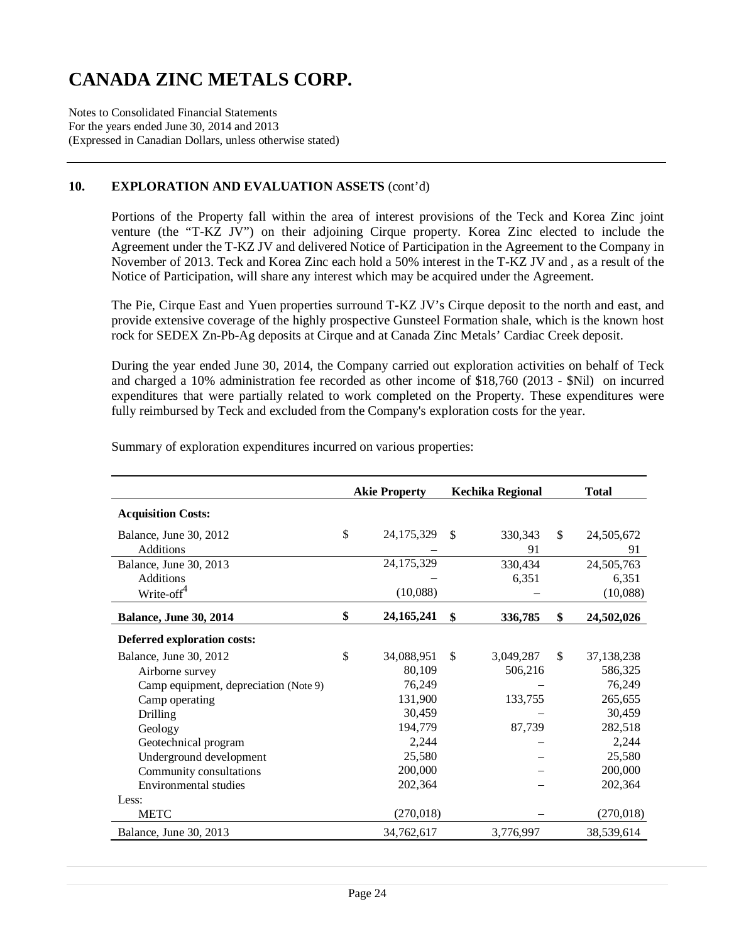Notes to Consolidated Financial Statements For the years ended June 30, 2014 and 2013 (Expressed in Canadian Dollars, unless otherwise stated)

### **10. EXPLORATION AND EVALUATION ASSETS** (cont'd)

Portions of the Property fall within the area of interest provisions of the Teck and Korea Zinc joint venture (the "T-KZ JV") on their adjoining Cirque property. Korea Zinc elected to include the Agreement under the T-KZ JV and delivered Notice of Participation in the Agreement to the Company in November of 2013. Teck and Korea Zinc each hold a 50% interest in the T-KZ JV and , as a result of the Notice of Participation, will share any interest which may be acquired under the Agreement.

The Pie, Cirque East and Yuen properties surround T-KZ JV's Cirque deposit to the north and east, and provide extensive coverage of the highly prospective Gunsteel Formation shale, which is the known host rock for SEDEX Zn-Pb-Ag deposits at Cirque and at Canada Zinc Metals' Cardiac Creek deposit.

During the year ended June 30, 2014, the Company carried out exploration activities on behalf of Teck and charged a 10% administration fee recorded as other income of \$18,760 (2013 - \$Nil) on incurred expenditures that were partially related to work completed on the Property. These expenditures were fully reimbursed by Teck and excluded from the Company's exploration costs for the year.

|                                       | <b>Akie Property</b> |               | <b>Kechika Regional</b> | <b>Total</b>     |
|---------------------------------------|----------------------|---------------|-------------------------|------------------|
| <b>Acquisition Costs:</b>             |                      |               |                         |                  |
| Balance, June 30, 2012                | \$<br>24, 175, 329   | $\mathcal{S}$ | 330,343                 | \$<br>24,505,672 |
| <b>Additions</b>                      |                      |               | 91                      | 91               |
| Balance, June 30, 2013                | 24,175,329           |               | 330,434                 | 24,505,763       |
| <b>Additions</b>                      |                      |               | 6,351                   | 6,351            |
| Write-off <sup>4</sup>                | (10,088)             |               |                         | (10,088)         |
| <b>Balance, June 30, 2014</b>         | \$<br>24, 165, 241   | \$            | 336,785                 | \$<br>24,502,026 |
| Deferred exploration costs:           |                      |               |                         |                  |
| Balance, June 30, 2012                | \$<br>34,088,951     | $\mathbb{S}$  | 3,049,287               | \$<br>37,138,238 |
| Airborne survey                       | 80,109               |               | 506,216                 | 586,325          |
| Camp equipment, depreciation (Note 9) | 76,249               |               |                         | 76,249           |
| Camp operating                        | 131,900              |               | 133,755                 | 265,655          |
| Drilling                              | 30,459               |               |                         | 30,459           |
| Geology                               | 194,779              |               | 87,739                  | 282,518          |
| Geotechnical program                  | 2,244                |               |                         | 2,244            |
| Underground development               | 25,580               |               |                         | 25,580           |
| Community consultations               | 200,000              |               |                         | 200,000          |
| <b>Environmental studies</b>          | 202,364              |               |                         | 202,364          |
| Less:                                 |                      |               |                         |                  |
| <b>METC</b>                           | (270, 018)           |               |                         | (270,018)        |
| Balance, June 30, 2013                | 34,762,617           |               | 3,776,997               | 38,539,614       |

Summary of exploration expenditures incurred on various properties: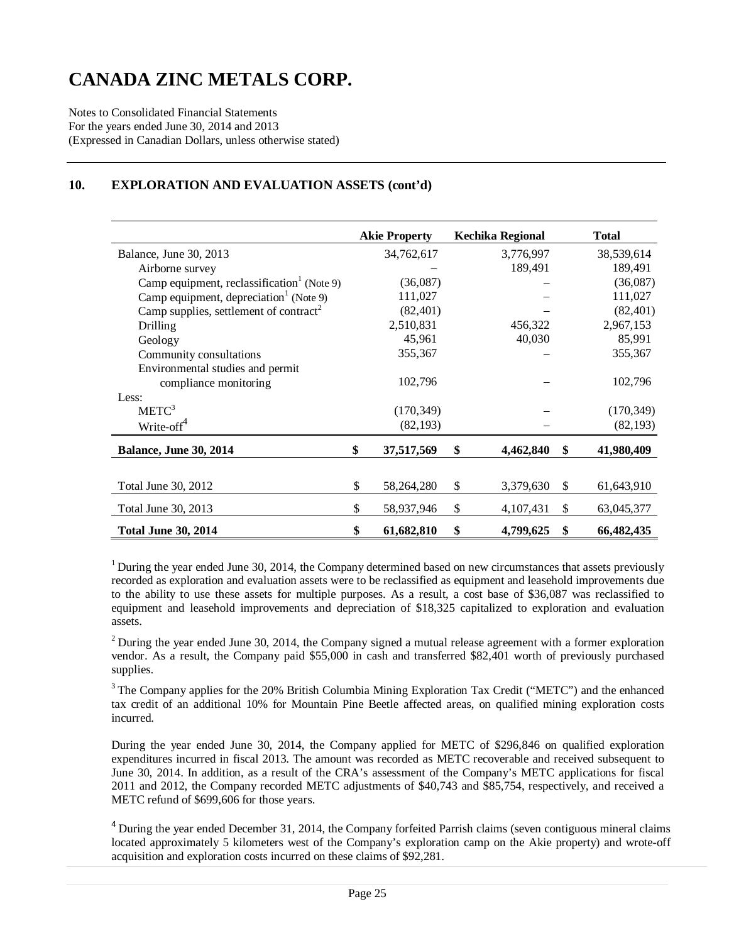Notes to Consolidated Financial Statements For the years ended June 30, 2014 and 2013 (Expressed in Canadian Dollars, unless otherwise stated)

### **10. EXPLORATION AND EVALUATION ASSETS (cont'd)**

|                                                    | <b>Akie Property</b> | Kechika Regional | <b>Total</b>     |
|----------------------------------------------------|----------------------|------------------|------------------|
| Balance, June 30, 2013                             | 34,762,617           | 3,776,997        | 38,539,614       |
| Airborne survey                                    |                      | 189,491          | 189,491          |
| Camp equipment, reclassification $(Note 9)$        | (36,087)             |                  | (36,087)         |
| Camp equipment, depreciation <sup>1</sup> (Note 9) | 111,027              |                  | 111,027          |
| Camp supplies, settlement of contract <sup>2</sup> | (82, 401)            |                  | (82, 401)        |
| Drilling                                           | 2,510,831            | 456,322          | 2,967,153        |
| Geology                                            | 45,961               | 40,030           | 85,991           |
| Community consultations                            | 355,367              |                  | 355,367          |
| Environmental studies and permit                   |                      |                  |                  |
| compliance monitoring                              | 102,796              |                  | 102,796          |
| Less:                                              |                      |                  |                  |
| $METC^3$                                           | (170, 349)           |                  | (170, 349)       |
| Write-off <sup>4</sup>                             | (82, 193)            |                  | (82, 193)        |
| <b>Balance, June 30, 2014</b>                      | \$<br>37,517,569     | \$<br>4,462,840  | \$<br>41,980,409 |
|                                                    |                      |                  |                  |
| Total June 30, 2012                                | \$<br>58,264,280     | \$<br>3,379,630  | \$<br>61,643,910 |
| Total June 30, 2013                                | \$<br>58,937,946     | \$<br>4,107,431  | \$<br>63,045,377 |
| <b>Total June 30, 2014</b>                         | \$<br>61,682,810     | \$<br>4,799,625  | \$<br>66,482,435 |

 $1$  During the year ended June 30, 2014, the Company determined based on new circumstances that assets previously recorded as exploration and evaluation assets were to be reclassified as equipment and leasehold improvements due to the ability to use these assets for multiple purposes. As a result, a cost base of \$36,087 was reclassified to equipment and leasehold improvements and depreciation of \$18,325 capitalized to exploration and evaluation assets.

 $2$  During the year ended June 30, 2014, the Company signed a mutual release agreement with a former exploration vendor. As a result, the Company paid \$55,000 in cash and transferred \$82,401 worth of previously purchased supplies.

 $3$  The Company applies for the 20% British Columbia Mining Exploration Tax Credit ("METC") and the enhanced tax credit of an additional 10% for Mountain Pine Beetle affected areas, on qualified mining exploration costs incurred.

During the year ended June 30, 2014, the Company applied for METC of \$296,846 on qualified exploration expenditures incurred in fiscal 2013. The amount was recorded as METC recoverable and received subsequent to June 30, 2014. In addition, as a result of the CRA's assessment of the Company's METC applications for fiscal 2011 and 2012, the Company recorded METC adjustments of \$40,743 and \$85,754, respectively, and received a METC refund of \$699,606 for those years.

<sup>4</sup> During the year ended December 31, 2014, the Company forfeited Parrish claims (seven contiguous mineral claims located approximately 5 kilometers west of the Company's exploration camp on the Akie property) and wrote-off acquisition and exploration costs incurred on these claims of \$92,281.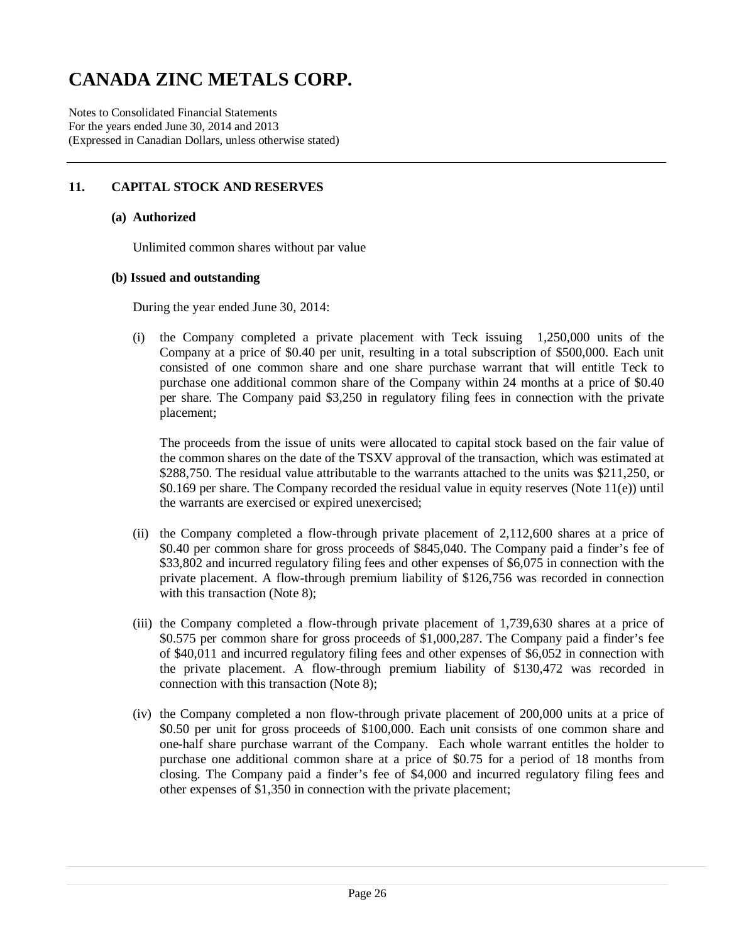Notes to Consolidated Financial Statements For the years ended June 30, 2014 and 2013 (Expressed in Canadian Dollars, unless otherwise stated)

### **11. CAPITAL STOCK AND RESERVES**

#### **(a) Authorized**

Unlimited common shares without par value

#### **(b) Issued and outstanding**

During the year ended June 30, 2014:

(i) the Company completed a private placement with Teck issuing 1,250,000 units of the Company at a price of \$0.40 per unit, resulting in a total subscription of \$500,000. Each unit consisted of one common share and one share purchase warrant that will entitle Teck to purchase one additional common share of the Company within 24 months at a price of \$0.40 per share. The Company paid \$3,250 in regulatory filing fees in connection with the private placement;

The proceeds from the issue of units were allocated to capital stock based on the fair value of the common shares on the date of the TSXV approval of the transaction, which was estimated at \$288,750. The residual value attributable to the warrants attached to the units was \$211,250, or \$0.169 per share. The Company recorded the residual value in equity reserves (Note 11(e)) until the warrants are exercised or expired unexercised;

- (ii) the Company completed a flow-through private placement of 2,112,600 shares at a price of \$0.40 per common share for gross proceeds of \$845,040. The Company paid a finder's fee of \$33,802 and incurred regulatory filing fees and other expenses of \$6,075 in connection with the private placement. A flow-through premium liability of \$126,756 was recorded in connection with this transaction (Note 8);
- (iii) the Company completed a flow-through private placement of 1,739,630 shares at a price of \$0.575 per common share for gross proceeds of \$1,000,287. The Company paid a finder's fee of \$40,011 and incurred regulatory filing fees and other expenses of \$6,052 in connection with the private placement. A flow-through premium liability of \$130,472 was recorded in connection with this transaction (Note 8);
- (iv) the Company completed a non flow-through private placement of 200,000 units at a price of \$0.50 per unit for gross proceeds of \$100,000. Each unit consists of one common share and one-half share purchase warrant of the Company. Each whole warrant entitles the holder to purchase one additional common share at a price of \$0.75 for a period of 18 months from closing. The Company paid a finder's fee of \$4,000 and incurred regulatory filing fees and other expenses of \$1,350 in connection with the private placement;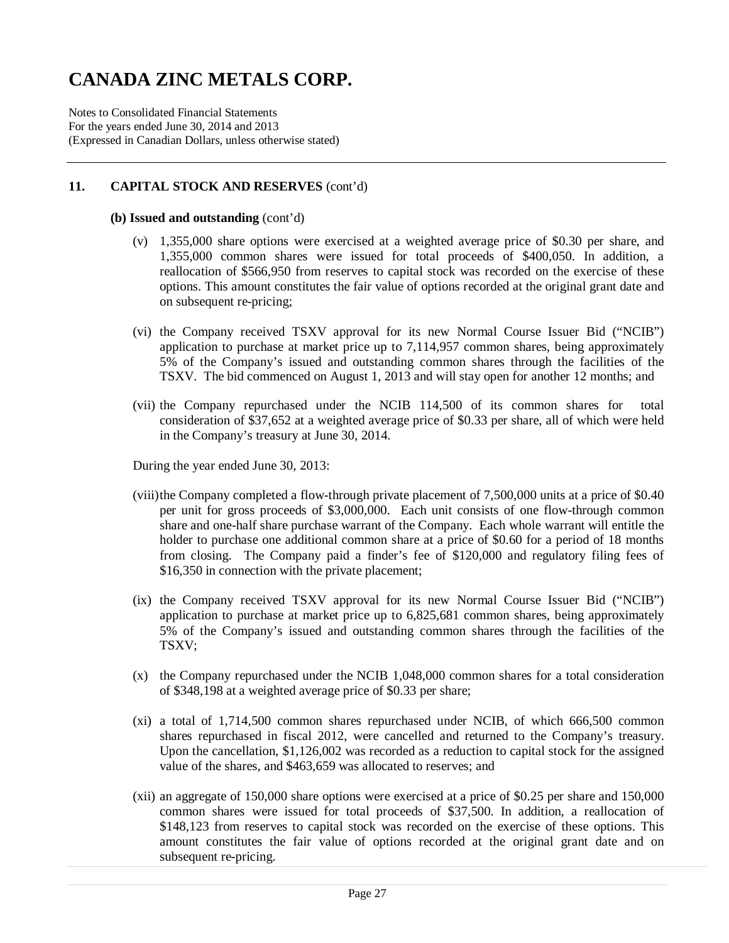Notes to Consolidated Financial Statements For the years ended June 30, 2014 and 2013 (Expressed in Canadian Dollars, unless otherwise stated)

### **11. CAPITAL STOCK AND RESERVES** (cont'd)

#### **(b) Issued and outstanding** (cont'd)

- (v) 1,355,000 share options were exercised at a weighted average price of \$0.30 per share, and 1,355,000 common shares were issued for total proceeds of \$400,050. In addition, a reallocation of \$566,950 from reserves to capital stock was recorded on the exercise of these options. This amount constitutes the fair value of options recorded at the original grant date and on subsequent re-pricing;
- (vi) the Company received TSXV approval for its new Normal Course Issuer Bid ("NCIB") application to purchase at market price up to 7,114,957 common shares, being approximately 5% of the Company's issued and outstanding common shares through the facilities of the TSXV. The bid commenced on August 1, 2013 and will stay open for another 12 months; and
- (vii) the Company repurchased under the NCIB 114,500 of its common shares for total consideration of \$37,652 at a weighted average price of \$0.33 per share, all of which were held in the Company's treasury at June 30, 2014.

During the year ended June 30, 2013:

- (viii)the Company completed a flow-through private placement of 7,500,000 units at a price of \$0.40 per unit for gross proceeds of \$3,000,000. Each unit consists of one flow-through common share and one-half share purchase warrant of the Company. Each whole warrant will entitle the holder to purchase one additional common share at a price of \$0.60 for a period of 18 months from closing. The Company paid a finder's fee of \$120,000 and regulatory filing fees of \$16,350 in connection with the private placement;
- (ix) the Company received TSXV approval for its new Normal Course Issuer Bid ("NCIB") application to purchase at market price up to 6,825,681 common shares, being approximately 5% of the Company's issued and outstanding common shares through the facilities of the TSXV;
- (x) the Company repurchased under the NCIB 1,048,000 common shares for a total consideration of \$348,198 at a weighted average price of \$0.33 per share;
- (xi) a total of 1,714,500 common shares repurchased under NCIB, of which 666,500 common shares repurchased in fiscal 2012, were cancelled and returned to the Company's treasury. Upon the cancellation, \$1,126,002 was recorded as a reduction to capital stock for the assigned value of the shares, and \$463,659 was allocated to reserves; and
- (xii) an aggregate of 150,000 share options were exercised at a price of \$0.25 per share and 150,000 common shares were issued for total proceeds of \$37,500. In addition, a reallocation of \$148,123 from reserves to capital stock was recorded on the exercise of these options. This amount constitutes the fair value of options recorded at the original grant date and on subsequent re-pricing.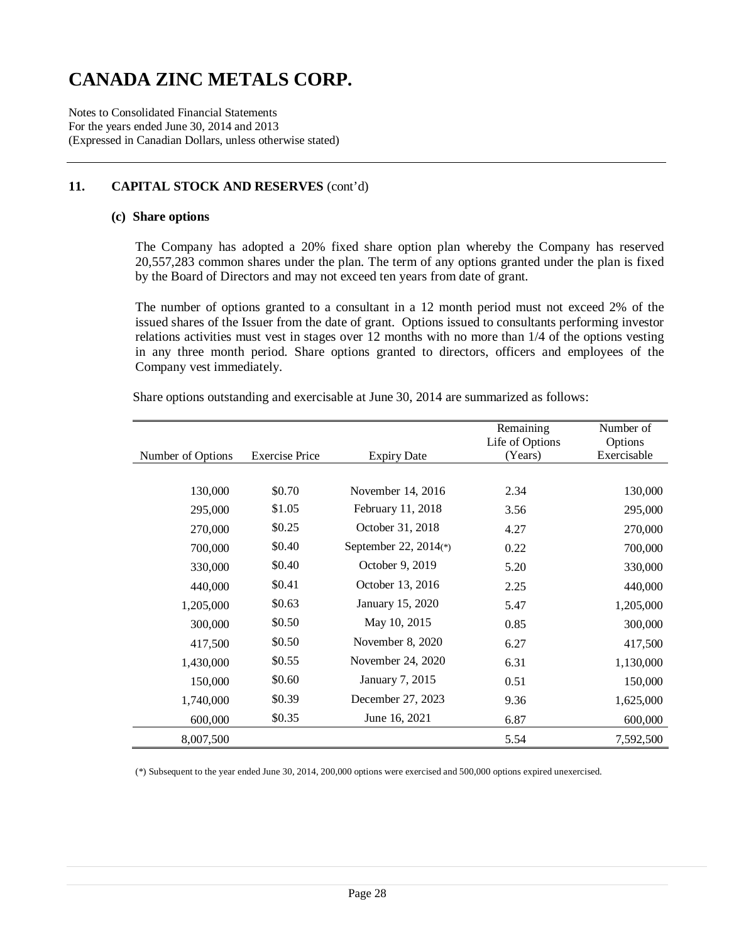Notes to Consolidated Financial Statements For the years ended June 30, 2014 and 2013 (Expressed in Canadian Dollars, unless otherwise stated)

# **11. CAPITAL STOCK AND RESERVES** (cont'd)

#### **(c) Share options**

The Company has adopted a 20% fixed share option plan whereby the Company has reserved 20,557,283 common shares under the plan. The term of any options granted under the plan is fixed by the Board of Directors and may not exceed ten years from date of grant.

The number of options granted to a consultant in a 12 month period must not exceed 2% of the issued shares of the Issuer from the date of grant. Options issued to consultants performing investor relations activities must vest in stages over 12 months with no more than 1/4 of the options vesting in any three month period. Share options granted to directors, officers and employees of the Company vest immediately.

|  |  |  |  |  | Share options outstanding and exercisable at June 30, 2014 are summarized as follows: |
|--|--|--|--|--|---------------------------------------------------------------------------------------|
|--|--|--|--|--|---------------------------------------------------------------------------------------|

|                   |                       |                       | Remaining<br>Life of Options | Number of<br>Options |
|-------------------|-----------------------|-----------------------|------------------------------|----------------------|
| Number of Options | <b>Exercise Price</b> | <b>Expiry Date</b>    | (Years)                      | Exercisable          |
|                   |                       |                       |                              |                      |
| 130,000           | \$0.70                | November 14, 2016     | 2.34                         | 130,000              |
| 295,000           | \$1.05                | February 11, 2018     | 3.56                         | 295,000              |
| 270,000           | \$0.25                | October 31, 2018      | 4.27                         | 270,000              |
| 700,000           | \$0.40                | September 22, 2014(*) | 0.22                         | 700,000              |
| 330,000           | \$0.40                | October 9, 2019       | 5.20                         | 330,000              |
| 440,000           | \$0.41                | October 13, 2016      | 2.25                         | 440,000              |
| 1,205,000         | \$0.63                | January 15, 2020      | 5.47                         | 1,205,000            |
| 300,000           | \$0.50                | May 10, 2015          | 0.85                         | 300,000              |
| 417,500           | \$0.50                | November 8, 2020      | 6.27                         | 417,500              |
| 1,430,000         | \$0.55                | November 24, 2020     | 6.31                         | 1,130,000            |
| 150,000           | \$0.60                | January 7, 2015       | 0.51                         | 150,000              |
| 1,740,000         | \$0.39                | December 27, 2023     | 9.36                         | 1,625,000            |
| 600,000           | \$0.35                | June 16, 2021         | 6.87                         | 600,000              |
| 8,007,500         |                       |                       | 5.54                         | 7,592,500            |

(\*) Subsequent to the year ended June 30, 2014, 200,000 options were exercised and 500,000 options expired unexercised.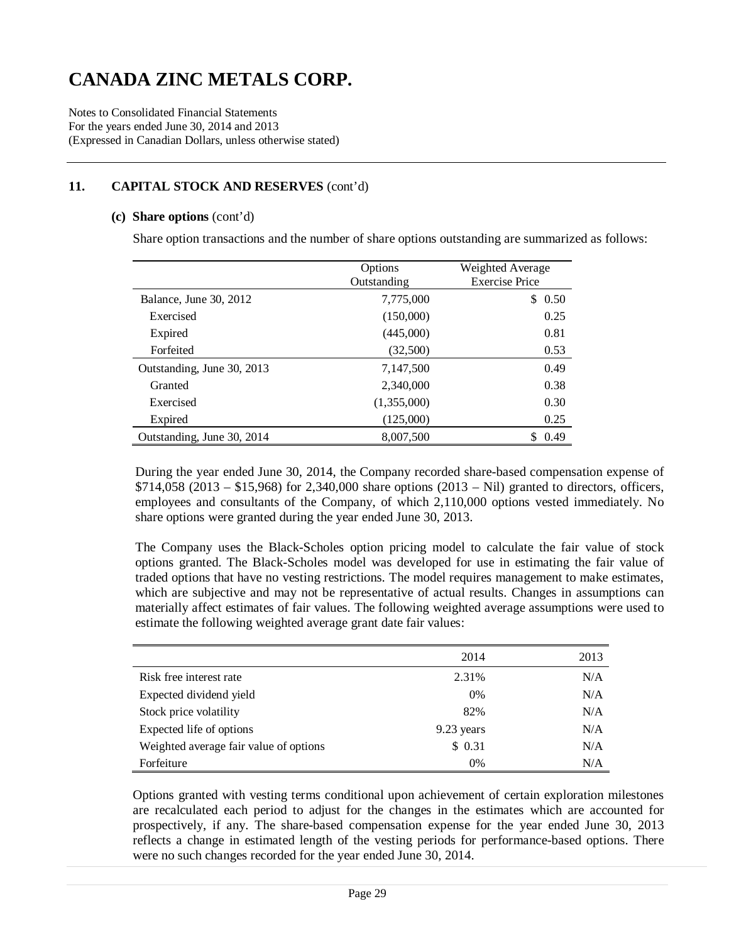Notes to Consolidated Financial Statements For the years ended June 30, 2014 and 2013 (Expressed in Canadian Dollars, unless otherwise stated)

# **11. CAPITAL STOCK AND RESERVES** (cont'd)

#### **(c) Share options** (cont'd)

Share option transactions and the number of share options outstanding are summarized as follows:

|                            | Options<br>Outstanding | Weighted Average<br><b>Exercise Price</b> |
|----------------------------|------------------------|-------------------------------------------|
| Balance, June 30, 2012     | 7,775,000              | 0.50                                      |
| Exercised                  | (150,000)              | 0.25                                      |
| Expired                    | (445,000)              | 0.81                                      |
| Forfeited                  | (32,500)               | 0.53                                      |
| Outstanding, June 30, 2013 | 7,147,500              | 0.49                                      |
| Granted                    | 2,340,000              | 0.38                                      |
| Exercised                  | (1,355,000)            | 0.30                                      |
| Expired                    | (125,000)              | 0.25                                      |
| Outstanding, June 30, 2014 | 8,007,500              | 0.49                                      |

During the year ended June 30, 2014, the Company recorded share-based compensation expense of  $$714,058 (2013 - $15,968)$  for 2,340,000 share options  $(2013 - Nil)$  granted to directors, officers, employees and consultants of the Company, of which 2,110,000 options vested immediately. No share options were granted during the year ended June 30, 2013.

The Company uses the Black-Scholes option pricing model to calculate the fair value of stock options granted. The Black-Scholes model was developed for use in estimating the fair value of traded options that have no vesting restrictions. The model requires management to make estimates, which are subjective and may not be representative of actual results. Changes in assumptions can materially affect estimates of fair values. The following weighted average assumptions were used to estimate the following weighted average grant date fair values:

|                                        | 2014       | 2013 |
|----------------------------------------|------------|------|
| Risk free interest rate                | 2.31%      | N/A  |
| Expected dividend yield                | $0\%$      | N/A  |
| Stock price volatility                 | 82%        | N/A  |
| Expected life of options               | 9.23 years | N/A  |
| Weighted average fair value of options | \$ 0.31    | N/A  |
| Forfeiture                             | 0%         | N/A  |

Options granted with vesting terms conditional upon achievement of certain exploration milestones are recalculated each period to adjust for the changes in the estimates which are accounted for prospectively, if any. The share-based compensation expense for the year ended June 30, 2013 reflects a change in estimated length of the vesting periods for performance-based options. There were no such changes recorded for the year ended June 30, 2014.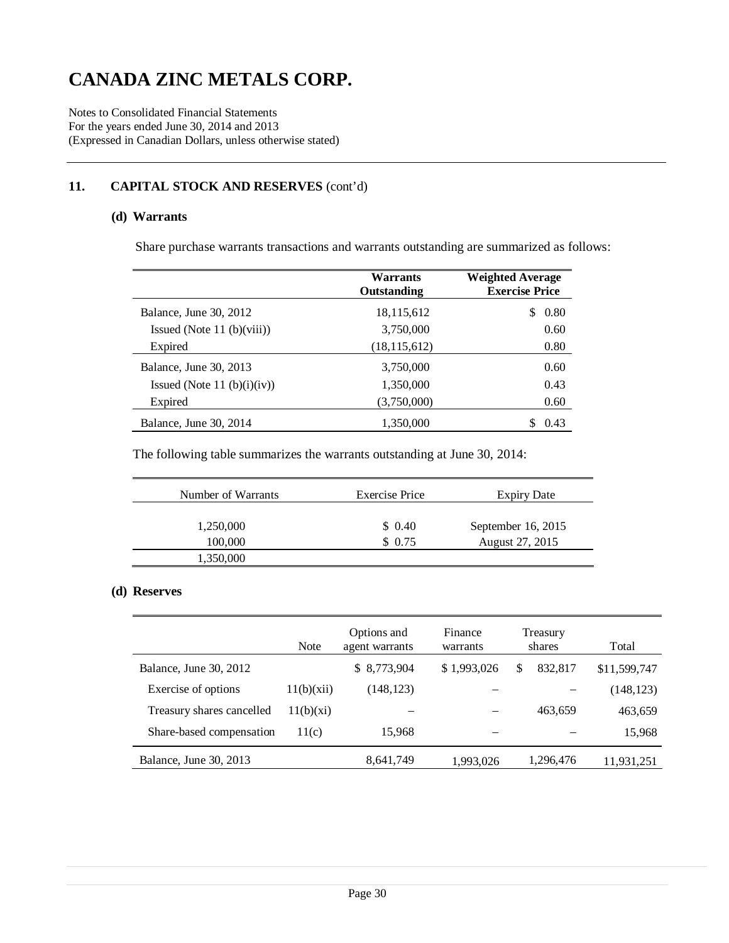Notes to Consolidated Financial Statements For the years ended June 30, 2014 and 2013 (Expressed in Canadian Dollars, unless otherwise stated)

# **11. CAPITAL STOCK AND RESERVES** (cont'd)

### **(d) Warrants**

Share purchase warrants transactions and warrants outstanding are summarized as follows:

|                                | Warrants<br><b>Outstanding</b> | <b>Weighted Average</b><br><b>Exercise Price</b> |
|--------------------------------|--------------------------------|--------------------------------------------------|
| Balance, June 30, 2012         | 18,115,612                     | 0.80                                             |
| Issued (Note 11 $(b)(viii)$ )  | 3,750,000                      | 0.60                                             |
| Expired                        | (18, 115, 612)                 | 0.80                                             |
| Balance, June 30, 2013         | 3,750,000                      | 0.60                                             |
| Issued (Note 11 $(b)(i)(iv)$ ) | 1,350,000                      | 0.43                                             |
| Expired                        | (3,750,000)                    | 0.60                                             |
| Balance, June 30, 2014         | 1,350,000                      | 0.43                                             |

The following table summarizes the warrants outstanding at June 30, 2014:

| Number of Warrants | <b>Exercise Price</b> | <b>Expiry Date</b> |
|--------------------|-----------------------|--------------------|
| 1,250,000          | \$0.40                | September 16, 2015 |
| 100,000            | \$0.75                | August 27, 2015    |
| 1,350,000          |                       |                    |

#### **(d) Reserves**

|                           | <b>Note</b> | Options and<br>agent warrants | Finance<br>warrants | Treasury<br>shares | Total        |
|---------------------------|-------------|-------------------------------|---------------------|--------------------|--------------|
| Balance, June 30, 2012    |             | \$ 8,773,904                  | \$1,993,026         | \$<br>832.817      | \$11,599,747 |
| Exercise of options       | 11(b)(xii)  | (148, 123)                    |                     |                    | (148, 123)   |
| Treasury shares cancelled | 11(b)(xi)   |                               |                     | 463,659            | 463,659      |
| Share-based compensation  | 11(c)       | 15,968                        |                     |                    | 15,968       |
| Balance, June 30, 2013    |             | 8,641,749                     | 1,993,026           | 1,296,476          | 11,931,251   |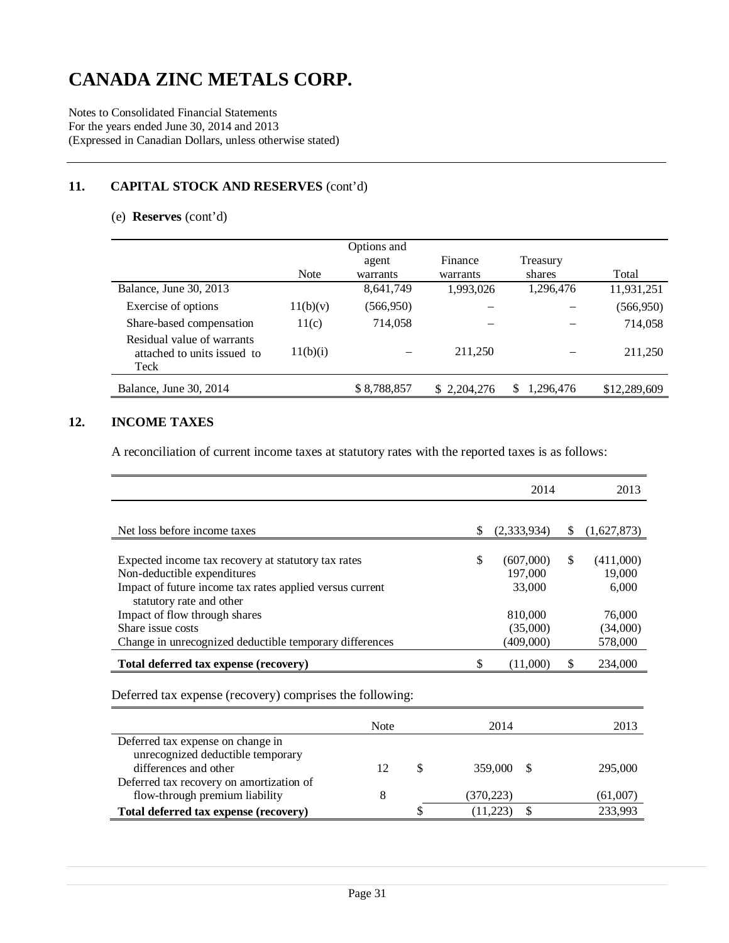Notes to Consolidated Financial Statements For the years ended June 30, 2014 and 2013 (Expressed in Canadian Dollars, unless otherwise stated)

# **11. CAPITAL STOCK AND RESERVES** (cont'd)

### (e) **Reserves** (cont'd)

|                                                                   |             | Options and |             |                 |              |
|-------------------------------------------------------------------|-------------|-------------|-------------|-----------------|--------------|
|                                                                   |             | agent       | Finance     | Treasury        |              |
|                                                                   | <b>Note</b> | warrants    | warrants    | shares          | Total        |
| Balance, June 30, 2013                                            |             | 8,641,749   | 1,993,026   | 1,296,476       | 11,931,251   |
| Exercise of options                                               | 11(b)(v)    | (566, 950)  |             |                 | (566, 950)   |
| Share-based compensation                                          | 11(c)       | 714,058     |             |                 | 714,058      |
| Residual value of warrants<br>attached to units issued to<br>Teck | 11(b)(i)    |             | 211,250     |                 | 211,250      |
| Balance, June 30, 2014                                            |             | \$8,788,857 | \$2,204,276 | \$<br>1,296,476 | \$12,289,609 |

# **12. INCOME TAXES**

A reconciliation of current income taxes at statutory rates with the reported taxes is as follows:

|                                                                                      |             |    | 2014          |               | 2013        |
|--------------------------------------------------------------------------------------|-------------|----|---------------|---------------|-------------|
| Net loss before income taxes                                                         |             | \$ | (2,333,934)   | <sup>\$</sup> | (1,627,873) |
|                                                                                      |             |    |               |               |             |
| Expected income tax recovery at statutory tax rates                                  |             | \$ | (607,000)     | $\mathbb{S}$  | (411,000)   |
| Non-deductible expenditures                                                          |             |    | 197,000       |               | 19,000      |
| Impact of future income tax rates applied versus current<br>statutory rate and other |             |    | 33,000        |               | 6,000       |
| Impact of flow through shares                                                        |             |    | 810,000       |               | 76,000      |
| Share issue costs                                                                    |             |    | (35,000)      |               | (34,000)    |
| Change in unrecognized deductible temporary differences                              |             |    | (409,000)     |               | 578,000     |
| Total deferred tax expense (recovery)                                                |             | S  | (11,000)      | \$            | 234,000     |
| Deferred tax expense (recovery) comprises the following:                             |             |    |               |               |             |
|                                                                                      | <b>Note</b> |    | 2014          |               | 2013        |
| Deferred tax expense on change in                                                    |             |    |               |               |             |
| unrecognized deductible temporary<br>differences and other                           | 12          | \$ | 359,000<br>£. |               | 295,000     |
| Deferred tax recovery on amortization of<br>flow-through premium liability           | 8           |    | (370, 223)    |               | (61,007)    |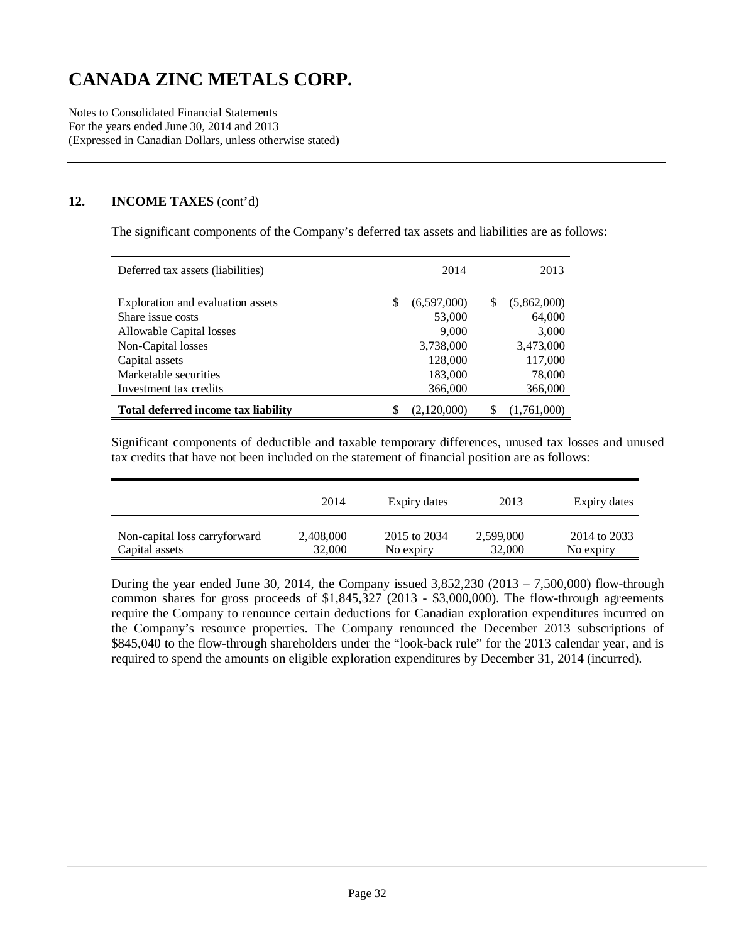Notes to Consolidated Financial Statements For the years ended June 30, 2014 and 2013 (Expressed in Canadian Dollars, unless otherwise stated)

### **12. INCOME TAXES** (cont'd)

The significant components of the Company's deferred tax assets and liabilities are as follows:

| Deferred tax assets (liabilities)          | 2014 |             |    | 2013        |
|--------------------------------------------|------|-------------|----|-------------|
|                                            |      |             |    |             |
| Exploration and evaluation assets          | \$   | (6,597,000) | \$ | (5,862,000) |
| Share issue costs                          |      | 53,000      |    | 64,000      |
| Allowable Capital losses                   |      | 9,000       |    | 3,000       |
| Non-Capital losses                         |      | 3,738,000   |    | 3,473,000   |
| Capital assets                             |      | 128,000     |    | 117,000     |
| Marketable securities                      |      | 183,000     |    | 78,000      |
| Investment tax credits                     |      | 366,000     |    | 366,000     |
| <b>Total deferred income tax liability</b> | \$   | (2,120,000) | S  | (1,761,000) |

Significant components of deductible and taxable temporary differences, unused tax losses and unused tax credits that have not been included on the statement of financial position are as follows:

|                               | 2014      | Expiry dates | 2013      | Expiry dates |
|-------------------------------|-----------|--------------|-----------|--------------|
| Non-capital loss carryforward | 2,408,000 | 2015 to 2034 | 2,599,000 | 2014 to 2033 |
| Capital assets                | 32,000    | No expiry    | 32,000    | No expiry    |

During the year ended June 30, 2014, the Company issued  $3,852,230$  (2013 – 7,500,000) flow-through common shares for gross proceeds of \$1,845,327 (2013 - \$3,000,000). The flow-through agreements require the Company to renounce certain deductions for Canadian exploration expenditures incurred on the Company's resource properties. The Company renounced the December 2013 subscriptions of \$845,040 to the flow-through shareholders under the "look-back rule" for the 2013 calendar year, and is required to spend the amounts on eligible exploration expenditures by December 31, 2014 (incurred).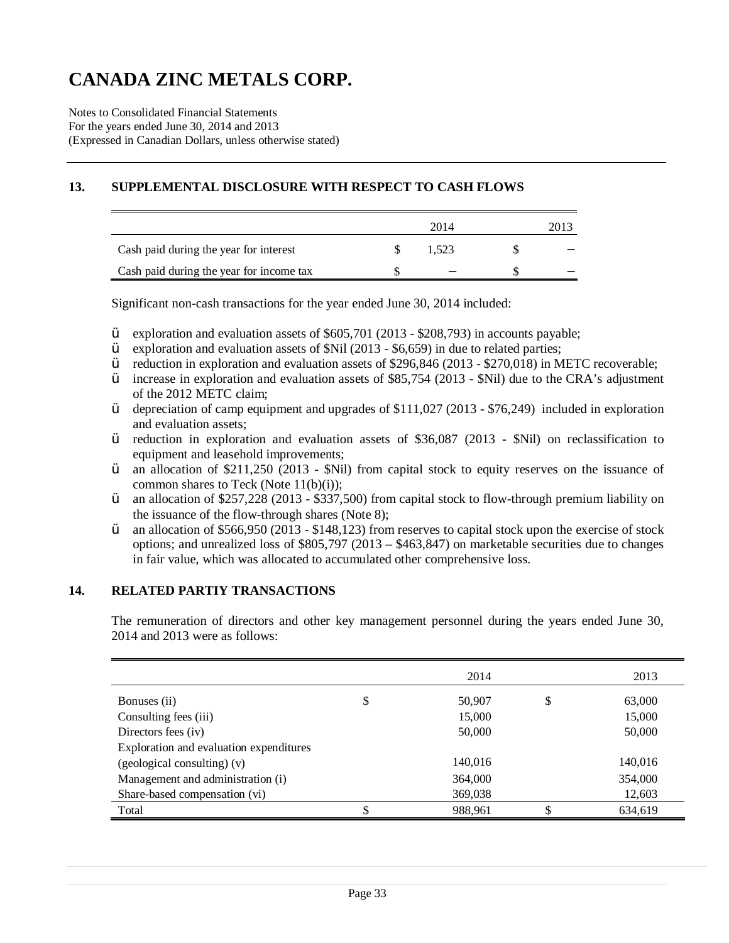Notes to Consolidated Financial Statements For the years ended June 30, 2014 and 2013 (Expressed in Canadian Dollars, unless otherwise stated)

# **13. SUPPLEMENTAL DISCLOSURE WITH RESPECT TO CASH FLOWS**

|                                          | 2014 |       |  |  |
|------------------------------------------|------|-------|--|--|
| Cash paid during the year for interest   |      | 1.523 |  |  |
| Cash paid during the year for income tax |      |       |  |  |

Significant non-cash transactions for the year ended June 30, 2014 included:

- $\ddot{Y}$  exploration and evaluation assets of \$605,701 (2013 \$208,793) in accounts payable;<br> $\ddot{Y}$  exploration and evaluation assets of \$Nil (2013 \$6.659) in due to related parties:
- $\ddot{Y}$  exploration and evaluation assets of \$Nil (2013 \$6,659) in due to related parties;<br> $\ddot{Y}$  reduction in exploration and evaluation assets of \$296.846 (2013 \$270.018) in M
- reduction in exploration and evaluation assets of  $$296,846 (2013 $270,018)$  in METC recoverable;
- $\ddot{V}$  increase in exploration and evaluation assets of \$85,754 (2013 \$Nil) due to the CRA's adjustment of the 2012 METC claim;
- $\ddot{Y}$  depreciation of camp equipment and upgrades of \$111,027 (2013 \$76,249) included in exploration and evaluation assets;
- Ÿ reduction in exploration and evaluation assets of \$36,087 (2013 \$Nil) on reclassification to equipment and leasehold improvements;
- $\ddot{Y}$  an allocation of \$211,250 (2013 \$Nil) from capital stock to equity reserves on the issuance of common shares to Teck (Note 11(b)(i));
- Ÿ an allocation of \$257,228 (2013 \$337,500) from capital stock to flow-through premium liability on the issuance of the flow-through shares (Note 8);
- $\ddot{Y}$  an allocation of \$566,950 (2013 \$148,123) from reserves to capital stock upon the exercise of stock options; and unrealized loss of  $$805,797 (2013 - $463,847)$  on marketable securities due to changes in fair value, which was allocated to accumulated other comprehensive loss.

# **14. RELATED PARTIY TRANSACTIONS**

The remuneration of directors and other key management personnel during the years ended June 30, 2014 and 2013 were as follows:

|                                         | 2014         | 2013         |
|-----------------------------------------|--------------|--------------|
| Bonuses (ii)                            | \$<br>50,907 | \$<br>63,000 |
| Consulting fees (iii)                   | 15,000       | 15,000       |
| Directors fees (iv)                     | 50,000       | 50,000       |
| Exploration and evaluation expenditures |              |              |
| (geological consulting) (v)             | 140,016      | 140,016      |
| Management and administration (i)       | 364,000      | 354,000      |
| Share-based compensation (vi)           | 369,038      | 12,603       |
| Total                                   | 988,961      | 634,619      |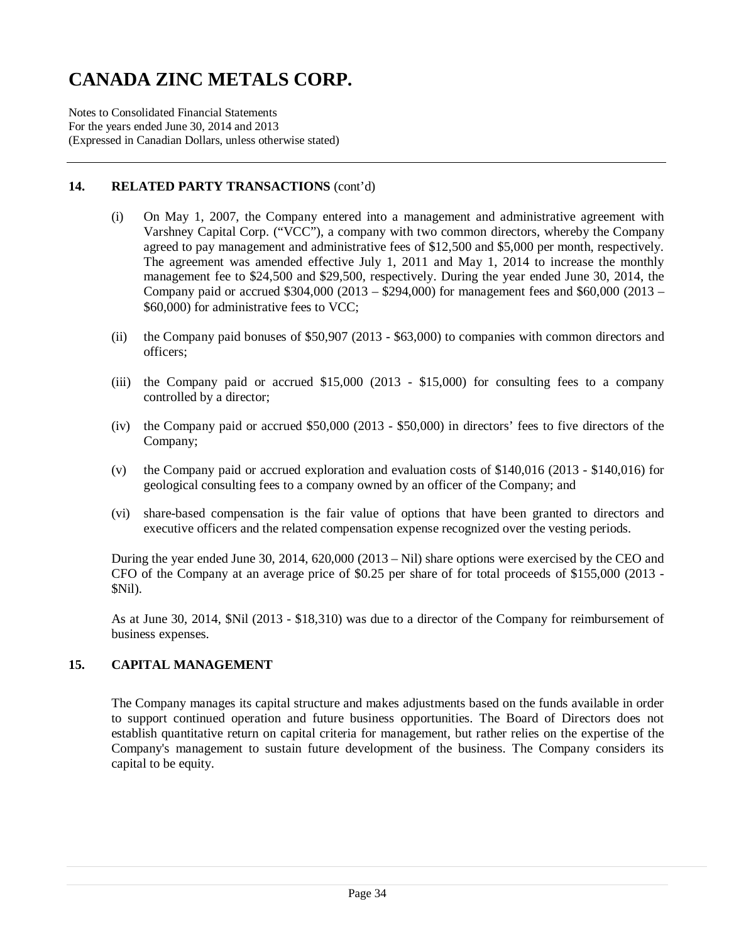Notes to Consolidated Financial Statements For the years ended June 30, 2014 and 2013 (Expressed in Canadian Dollars, unless otherwise stated)

### **14. RELATED PARTY TRANSACTIONS** (cont'd)

- (i) On May 1, 2007, the Company entered into a management and administrative agreement with Varshney Capital Corp. ("VCC"), a company with two common directors, whereby the Company agreed to pay management and administrative fees of \$12,500 and \$5,000 per month, respectively. The agreement was amended effective July 1, 2011 and May 1, 2014 to increase the monthly management fee to \$24,500 and \$29,500, respectively. During the year ended June 30, 2014, the Company paid or accrued \$304,000 (2013 – \$294,000) for management fees and \$60,000 (2013 – \$60,000) for administrative fees to VCC;
- (ii) the Company paid bonuses of \$50,907 (2013 \$63,000) to companies with common directors and officers;
- (iii) the Company paid or accrued \$15,000 (2013 \$15,000) for consulting fees to a company controlled by a director;
- (iv) the Company paid or accrued \$50,000 (2013 \$50,000) in directors' fees to five directors of the Company;
- (v) the Company paid or accrued exploration and evaluation costs of \$140,016 (2013 \$140,016) for geological consulting fees to a company owned by an officer of the Company; and
- (vi) share-based compensation is the fair value of options that have been granted to directors and executive officers and the related compensation expense recognized over the vesting periods.

During the year ended June 30, 2014, 620,000 (2013 – Nil) share options were exercised by the CEO and CFO of the Company at an average price of \$0.25 per share of for total proceeds of \$155,000 (2013 - \$Nil).

As at June 30, 2014, \$Nil (2013 - \$18,310) was due to a director of the Company for reimbursement of business expenses.

### **15. CAPITAL MANAGEMENT**

The Company manages its capital structure and makes adjustments based on the funds available in order to support continued operation and future business opportunities. The Board of Directors does not establish quantitative return on capital criteria for management, but rather relies on the expertise of the Company's management to sustain future development of the business. The Company considers its capital to be equity.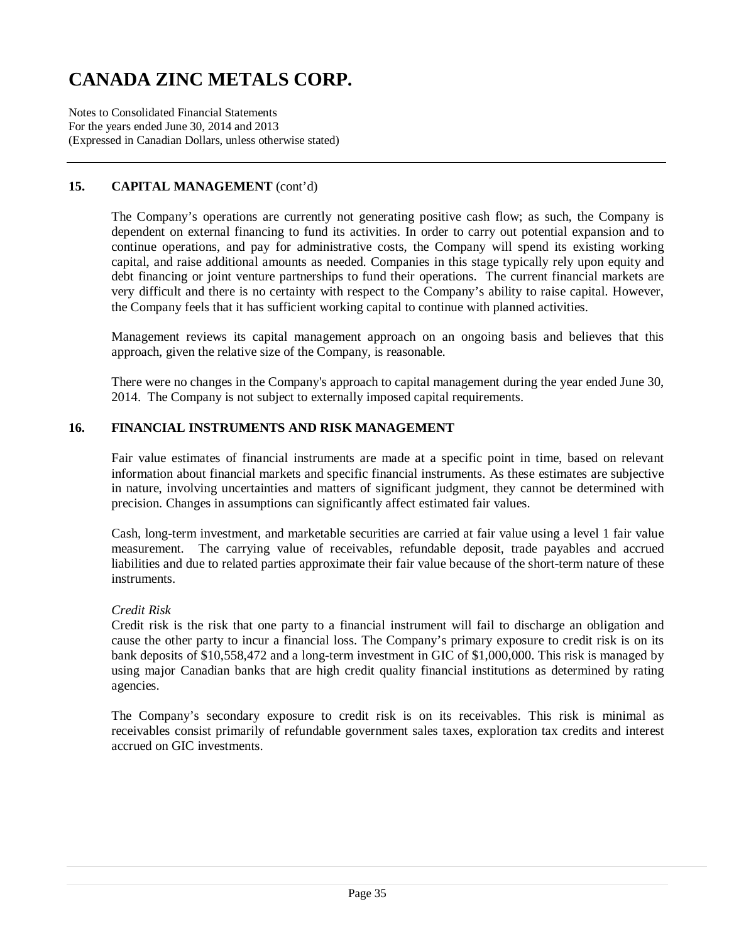Notes to Consolidated Financial Statements For the years ended June 30, 2014 and 2013 (Expressed in Canadian Dollars, unless otherwise stated)

### **15. CAPITAL MANAGEMENT** (cont'd)

The Company's operations are currently not generating positive cash flow; as such, the Company is dependent on external financing to fund its activities. In order to carry out potential expansion and to continue operations, and pay for administrative costs, the Company will spend its existing working capital, and raise additional amounts as needed. Companies in this stage typically rely upon equity and debt financing or joint venture partnerships to fund their operations. The current financial markets are very difficult and there is no certainty with respect to the Company's ability to raise capital. However, the Company feels that it has sufficient working capital to continue with planned activities.

Management reviews its capital management approach on an ongoing basis and believes that this approach, given the relative size of the Company, is reasonable.

There were no changes in the Company's approach to capital management during the year ended June 30, 2014. The Company is not subject to externally imposed capital requirements.

### **16. FINANCIAL INSTRUMENTS AND RISK MANAGEMENT**

Fair value estimates of financial instruments are made at a specific point in time, based on relevant information about financial markets and specific financial instruments. As these estimates are subjective in nature, involving uncertainties and matters of significant judgment, they cannot be determined with precision. Changes in assumptions can significantly affect estimated fair values.

Cash, long-term investment, and marketable securities are carried at fair value using a level 1 fair value measurement. The carrying value of receivables, refundable deposit, trade payables and accrued liabilities and due to related parties approximate their fair value because of the short-term nature of these instruments.

#### *Credit Risk*

Credit risk is the risk that one party to a financial instrument will fail to discharge an obligation and cause the other party to incur a financial loss. The Company's primary exposure to credit risk is on its bank deposits of \$10,558,472 and a long-term investment in GIC of \$1,000,000. This risk is managed by using major Canadian banks that are high credit quality financial institutions as determined by rating agencies.

The Company's secondary exposure to credit risk is on its receivables. This risk is minimal as receivables consist primarily of refundable government sales taxes, exploration tax credits and interest accrued on GIC investments.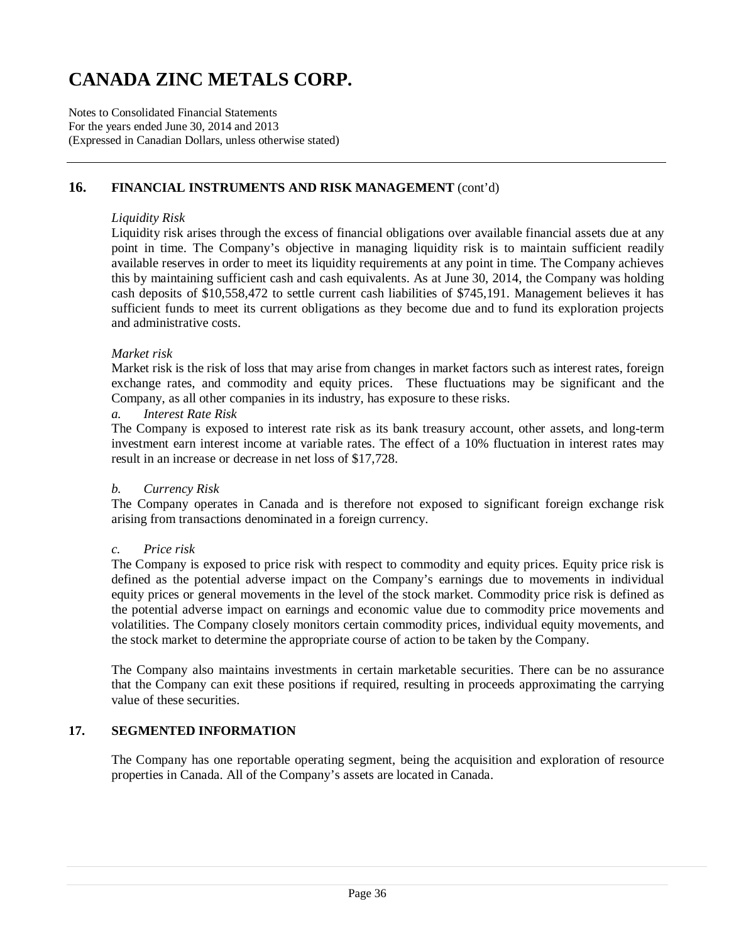Notes to Consolidated Financial Statements For the years ended June 30, 2014 and 2013 (Expressed in Canadian Dollars, unless otherwise stated)

### **16. FINANCIAL INSTRUMENTS AND RISK MANAGEMENT** (cont'd)

#### *Liquidity Risk*

Liquidity risk arises through the excess of financial obligations over available financial assets due at any point in time. The Company's objective in managing liquidity risk is to maintain sufficient readily available reserves in order to meet its liquidity requirements at any point in time. The Company achieves this by maintaining sufficient cash and cash equivalents. As at June 30, 2014, the Company was holding cash deposits of \$10,558,472 to settle current cash liabilities of \$745,191. Management believes it has sufficient funds to meet its current obligations as they become due and to fund its exploration projects and administrative costs.

#### *Market risk*

Market risk is the risk of loss that may arise from changes in market factors such as interest rates, foreign exchange rates, and commodity and equity prices. These fluctuations may be significant and the Company, as all other companies in its industry, has exposure to these risks.

### *a. Interest Rate Risk*

The Company is exposed to interest rate risk as its bank treasury account, other assets, and long-term investment earn interest income at variable rates. The effect of a 10% fluctuation in interest rates may result in an increase or decrease in net loss of \$17,728.

#### *b. Currency Risk*

The Company operates in Canada and is therefore not exposed to significant foreign exchange risk arising from transactions denominated in a foreign currency.

#### *c. Price risk*

The Company is exposed to price risk with respect to commodity and equity prices. Equity price risk is defined as the potential adverse impact on the Company's earnings due to movements in individual equity prices or general movements in the level of the stock market. Commodity price risk is defined as the potential adverse impact on earnings and economic value due to commodity price movements and volatilities. The Company closely monitors certain commodity prices, individual equity movements, and the stock market to determine the appropriate course of action to be taken by the Company.

The Company also maintains investments in certain marketable securities. There can be no assurance that the Company can exit these positions if required, resulting in proceeds approximating the carrying value of these securities.

### **17. SEGMENTED INFORMATION**

The Company has one reportable operating segment, being the acquisition and exploration of resource properties in Canada. All of the Company's assets are located in Canada.